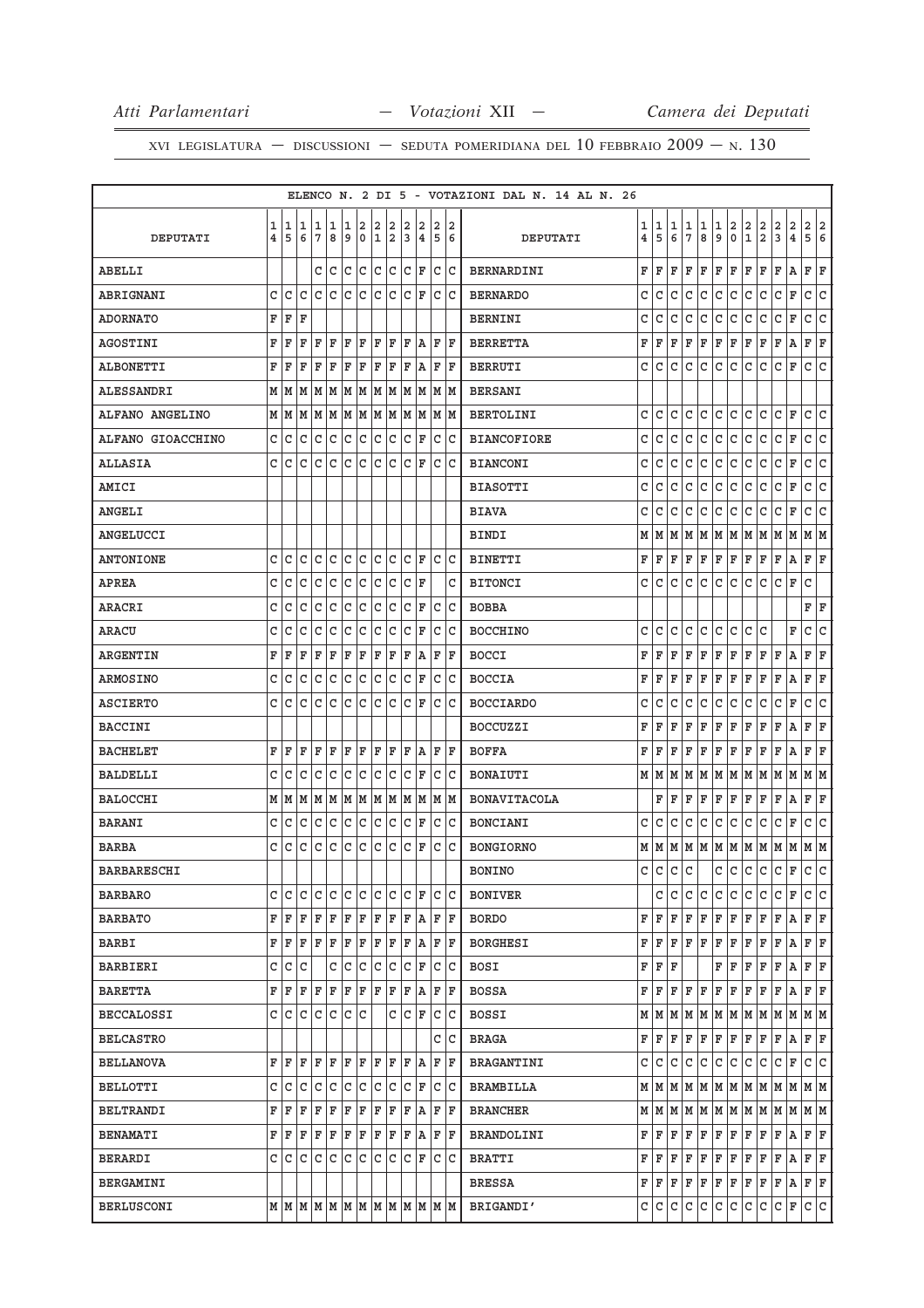|                    |                              |            |        |                   |              |        |                     |              |              |              |                        |         |    | ELENCO N. 2 DI 5 - VOTAZIONI DAL N. 14 AL N. 26 |                     |                |              |                      |        |              |                              |                                                              |               |                                                                             |             |               |                         |
|--------------------|------------------------------|------------|--------|-------------------|--------------|--------|---------------------|--------------|--------------|--------------|------------------------|---------|----|-------------------------------------------------|---------------------|----------------|--------------|----------------------|--------|--------------|------------------------------|--------------------------------------------------------------|---------------|-----------------------------------------------------------------------------|-------------|---------------|-------------------------|
| DEPUTATI           | 1<br>$\overline{\mathbf{4}}$ | 1<br>5     | 1<br>6 | 1<br>7            | 1<br>8       | 1<br>9 | $\overline{2}$<br>0 | 2<br> 1 2    | 2            | 2<br>3       | 2<br>14                | 2<br>56 | 12 | DEPUTATI                                        | 1<br>$\overline{4}$ | 1<br>5         | 1<br>6       | 1<br>$7\phantom{.0}$ | 1<br>8 | 1<br>9       | $\overline{\mathbf{2}}$<br>0 | $\left  \begin{smallmatrix} 2 \ 1 \end{smallmatrix} \right.$ | $\frac{2}{2}$ | $\frac{2}{3}$                                                               | $_4^2$      | $\frac{2}{5}$ | $\frac{2}{6}$           |
|                    |                              |            |        |                   |              |        |                     |              |              |              |                        |         |    |                                                 |                     |                |              |                      |        |              |                              |                                                              |               |                                                                             |             |               |                         |
| <b>ABELLI</b>      |                              |            |        | c  c              |              | C      | lc                  | lc.          | Iс           |              | $ {\tt C}\, {\tt F}\>$ | c c     |    | BERNARDINI                                      | F                   | F              | F            | F                    | F      | F            | F                            | F                                                            | F             | F                                                                           | A           | F             | F                       |
| ABRIGNANI          | c                            | l C        | C      | c c               |              | lc.    | lc.                 | c c          |              |              | C  F                   | c  c    |    | <b>BERNARDO</b>                                 | C                   | C              | lc.          | C                    | lc.    | C            | lc.                          | l c                                                          | $\mathtt{C}$  | lc.                                                                         | F           | C             | $\overline{\mathsf{C}}$ |
| <b>ADORNATO</b>    | F                            | F          | F      |                   |              |        |                     |              |              |              |                        |         |    | <b>BERNINI</b>                                  | C                   | C              | C            | C                    | С      | C            | C                            | C                                                            | С             | C                                                                           | F           | C             | C                       |
| <b>AGOSTINI</b>    | F                            | ΙF         | F      | F                 | ΙF           | ΙF     | ΙF                  | ΙF           | ΙF           | ΙF           | ١A                     | F  F    |    | <b>BERRETTA</b>                                 | F                   | F              | F            | ΙF                   | F      | F            | F                            | F                                                            | $\mathbf F$   | F                                                                           | Α           | F             | F                       |
| <b>ALBONETTI</b>   | F                            | ΙF         | F      | F                 | F            | F      | F                   | F            | F            | F            | A                      | ΙF      | ΙF | <b>BERRUTI</b>                                  | C                   | C              | C            | $\mathsf{C}$         | C      | C            | c                            | l c                                                          | c             | lc.                                                                         | F           | $\mathtt{C}$  | $\overline{\mathsf{C}}$ |
| <b>ALESSANDRI</b>  | М                            | M          | M      | M                 | M            | M      | M                   | M            | M            | lм           | M                      | M  M    |    | <b>BERSANI</b>                                  |                     |                |              |                      |        |              |                              |                                                              |               |                                                                             |             |               |                         |
| ALFANO ANGELINO    |                              | MM         | M      | MM                |              |        | MM                  |              | MM           |              | MM                     | MM      |    | <b>BERTOLINI</b>                                | C                   | C              | C            | C                    | C      | C            | lc.                          | l C                                                          | C             | lc.                                                                         | $\mathbf F$ | C             | lc.                     |
| ALFANO GIOACCHINO  | c                            | C          | C      | C                 | C            | lc     | с                   | lc.          | lc           | lc.          | ΙF                     | C       | ١c | <b>BIANCOFIORE</b>                              | C                   | C              | C            | С                    | C      | C            | C                            | l c                                                          | C             | C                                                                           | F           | C             | c                       |
| <b>ALLASIA</b>     | C                            | lc         | C      | C                 | C            | C      | C                   | C            | lc           | c            | ΙF                     | C C     |    | <b>BIANCONI</b>                                 | C                   | C              | C            | c                    | C      | C            | lc.                          | c                                                            | C             | C                                                                           | F           | C             | C                       |
| AMICI              |                              |            |        |                   |              |        |                     |              |              |              |                        |         |    | <b>BIASOTTI</b>                                 | C                   | C              | C            | C                    | C      | С            | C                            | C                                                            | C             | C                                                                           | F           | C             | C                       |
| ANGELI             |                              |            |        |                   |              |        |                     |              |              |              |                        |         |    | <b>BIAVA</b>                                    | C                   | C              | $\mathtt{C}$ | $\mathsf{C}$         | C      | C            | c                            | c                                                            | $\mathtt{C}$  | c                                                                           | $\mathbf F$ | C             | C                       |
| ANGELUCCI          |                              |            |        |                   |              |        |                     |              |              |              |                        |         |    | BINDI                                           | M                   | M              | M            | M                    | M      | M            | M                            | M                                                            | lм            | M                                                                           | M           | M  M          |                         |
| <b>ANTONIONE</b>   | C                            | C          | C      | C                 | C            | C      | C                   | C            | C            | C            | F                      | C C     |    | <b>BINETTI</b>                                  | F                   | F              | F            | $\mathbf F$          | F      | F            | F                            | ΙF                                                           | F             | F                                                                           | Α           | F             | F                       |
| <b>APREA</b>       | C                            | C          | C      | C                 | C            | c      | с                   | C            | lc           | C            | ΙF                     |         | С  | <b>BITONCI</b>                                  | C                   | C              | C            | C                    | C      | C            | lc.                          | C                                                            | C             | C                                                                           | F           | C             |                         |
| ARACRI             | C                            | C          | C      | C                 | C            | C      | C                   | C            | lc           | C            | ΙF                     | C       | lc | <b>BOBBA</b>                                    |                     |                |              |                      |        |              |                              |                                                              |               |                                                                             |             | $\mathbf F$   | F                       |
| ARACU              | С                            | C          | С      | C                 | C            | C      | C                   | C            | C            | C            | ΙF                     | C C     |    | <b>BOCCHINO</b>                                 | C                   | C              | C            | C                    | C      | C            | lc.                          | C                                                            | C             |                                                                             | F           | C             | C                       |
| <b>ARGENTIN</b>    | F                            | F          | F      | F                 | $\mathbf F$  | F      | F                   | F            | F            | F            | A                      | F       | ΙF | <b>BOCCI</b>                                    | F                   | F              | F            | F                    | F      | F            | F                            | F                                                            | F             | F                                                                           | Α           | F             | F                       |
| <b>ARMOSINO</b>    | C                            | C          | C      | C                 | C            | C      | C                   | $\mathtt{C}$ | c            | $\mathtt{C}$ | ΙF                     | С       | lc | <b>BOCCIA</b>                                   | F                   | F              | F            | F                    | F      | F            | F                            | F                                                            | $\mathbf F$   | F                                                                           | Α           | F             | F                       |
| <b>ASCIERTO</b>    | C                            | C          | C      | C                 | C            | lc     | c                   | lc.          | lc.          | lc.          | ΙF                     | C       | lc | <b>BOCCIARDO</b>                                | C                   | C              | C            | C                    | C      | C            | c                            | lc                                                           | C             | lc                                                                          | F           | $\mathtt{C}$  | C                       |
| <b>BACCINI</b>     |                              |            |        |                   |              |        |                     |              |              |              |                        |         |    | <b>BOCCUZZI</b>                                 | F                   | F              | F            | F                    | F      | F            | F                            | F                                                            | F             | F                                                                           | A           | F             | $\mathbf F$             |
| <b>BACHELET</b>    | F                            | ΙF         | F      | ΙF                | ΙF           | ΙF     | ΙF                  | ΙF           | ΙF           | ΙF           | lA.                    | F  F    |    | <b>BOFFA</b>                                    | F                   | F              | F            | F                    | F      | F            | F                            | F                                                            | F             | F                                                                           | Α           | F             | F                       |
| <b>BALDELLI</b>    | C                            | C          | C      | C                 | C            | C      | C                   | C            | C            | $\mathtt{C}$ | ΙF                     | C       | ١c | BONAIUTI                                        | М                   | M              | M            | M                    | M      | М            | M                            | M                                                            | M             | M                                                                           | M           | M             | M                       |
| <b>BALOCCHI</b>    |                              | MM         | M      | MM                |              |        | MM                  |              | MM           |              | MM                     | MM      |    | <b>BONAVITACOLA</b>                             |                     | F              | F            | F                    | F      | F            | F                            | F                                                            | F             | F                                                                           | А           | F             | F                       |
| BARANI             | C                            | C          | C      | C                 | С            | C      | С                   | C            | С            | C            | F                      | С       | lc | <b>BONCIANI</b>                                 | C                   | C              | C            | C                    | C      | С            | C                            | c                                                            | $\mathtt{C}$  | C                                                                           | $\mathbf F$ | C             | C                       |
| <b>BARBA</b>       | C                            | C          | C      | C                 | C            | C      | C                   | C            | $\mathtt{C}$ | $\mathtt{C}$ | F                      | C       | lc | <b>BONGIORNO</b>                                | М                   | M              | M            | M                    | M      | M            | M                            | M                                                            | M             | M                                                                           | M           | MM            |                         |
| <b>BARBARESCHI</b> |                              |            |        |                   |              |        |                     |              |              |              |                        |         |    | <b>BONINO</b>                                   | C                   | $\overline{c}$ | c.           | $\mathtt{C}$         |        | $\mathtt{C}$ | lc.                          | lc.                                                          | $\mathsf{C}$  | lc.                                                                         | F           | lc.           | lc.                     |
| BARBARO            | C                            | lC.        | C      | C                 | ГC           | lC.    | C                   |              | C C          |              | $ {\tt C}\> {\tt F} $  | C C     |    | <b>BONIVER</b>                                  |                     | c              | C            | C                    | C      | C            | C                            | C                                                            | C             | C                                                                           | F           | C             | lc.                     |
| <b>BARBATO</b>     |                              | FF         | ΙF     | ΙF                | F            | F F    |                     |              | F F          |              | F   A                  | F   F   |    | BORDO                                           | F                   | F              | F            | F                    | F      | F            | F                            | F                                                            | F             | F                                                                           | Α           | F F           |                         |
| BARBI              | F                            | F          | F      | F                 | F            | F      | F                   | F            | F            | F            | ΙA                     | F F     |    | BORGHESI                                        | F                   | F              | F            | F                    | F      | F            | F                            | F                                                            | F             | F                                                                           | А           | F             | F                       |
| BARBIERI           | С                            | С          | C      |                   | С            | c      | с                   | С            | IС           |              | C F                    | C C     |    | BOSI                                            | F                   | F              | F            |                      |        | F            | F                            | F                                                            | F             | F                                                                           | Α           | F F           |                         |
| <b>BARETTA</b>     | F                            | F          | ΙF     | ΙF                | F            | F      | F                   | F            | F            | F            | A                      | F  F    |    | BOSSA                                           | F                   | F              | F            | F                    | F      | F            | F                            | F                                                            | $\mathbf F$   | F                                                                           | Α           | F F           |                         |
| <b>BECCALOSSI</b>  | C                            | lc.        | с      | lc.               | $\mathtt{C}$ | lc.    | l C                 |              |              |              | C C F                  | c c     |    | BOSSI                                           |                     | MIM            | lМ           | M                    | M      | M            | M                            | M                                                            | M             | M                                                                           | M           | MM            |                         |
| BELCASTRO          |                              |            |        |                   |              |        |                     |              |              |              |                        | c  c    |    | BRAGA                                           | F                   | F              | F            | F                    | F      | F            | F                            | F                                                            | F             | F A                                                                         |             | F F           |                         |
| <b>BELLANOVA</b>   |                              | FIF        | F      | F                 | F            | F F    |                     | F  F         |              |              | F A                    | F  F    |    | BRAGANTINI                                      | C                   | C              | C            | C                    | C      | C            | lc.                          | С                                                            | С             | lc.                                                                         | F           | c c           |                         |
| BELLOTTI           |                              |            |        | C C C C C C C C C |              |        |                     |              |              |              | $ C $ $\mathbf{F}$     | C C     |    | BRAMBILLA                                       |                     |                |              |                      |        |              |                              |                                                              |               | $M$   $M$   $M$   $M$   $M$   $M$   $M$   $M$   $M$   $M$   $M$   $M$   $M$ |             |               |                         |
| BELTRANDI          | F                            | F          | F      | F                 | F            | F      | F                   | F            | F            | F            | lA.                    | F  F    |    | <b>BRANCHER</b>                                 |                     | MM             |              |                      |        |              |                              |                                                              |               |                                                                             |             |               |                         |
| <b>BENAMATI</b>    |                              | $F \mid F$ | F      | F                 | F            | F F    |                     |              | F F          |              | F A                    | F F     |    | BRANDOLINI                                      | F                   | F              | F            | F                    | F      | F            | F                            | F                                                            | F             | F                                                                           | Α           | F F           |                         |
| BERARDI            | C                            | l C        | C      | C                 | C            | lc.    | C                   | lc.          | lc           |              | $ {\tt C}\, $ F        | c c     |    | BRATTI                                          | F                   | F              | F            | F                    | F      | F            | F                            | F                                                            | F             | F                                                                           | A           | F F           |                         |
| BERGAMINI          |                              |            |        |                   |              |        |                     |              |              |              |                        |         |    | BRESSA                                          |                     | FF             |              | F F                  | F      | F            | F F                          |                                                              | F             | F                                                                           | A           | F F           |                         |
| <b>BERLUSCONI</b>  |                              |            |        |                   |              |        |                     |              |              |              |                        |         |    | BRIGANDI'                                       |                     | C C C C C      |              |                      |        |              |                              | c c c c                                                      |               | C F                                                                         |             | c c           |                         |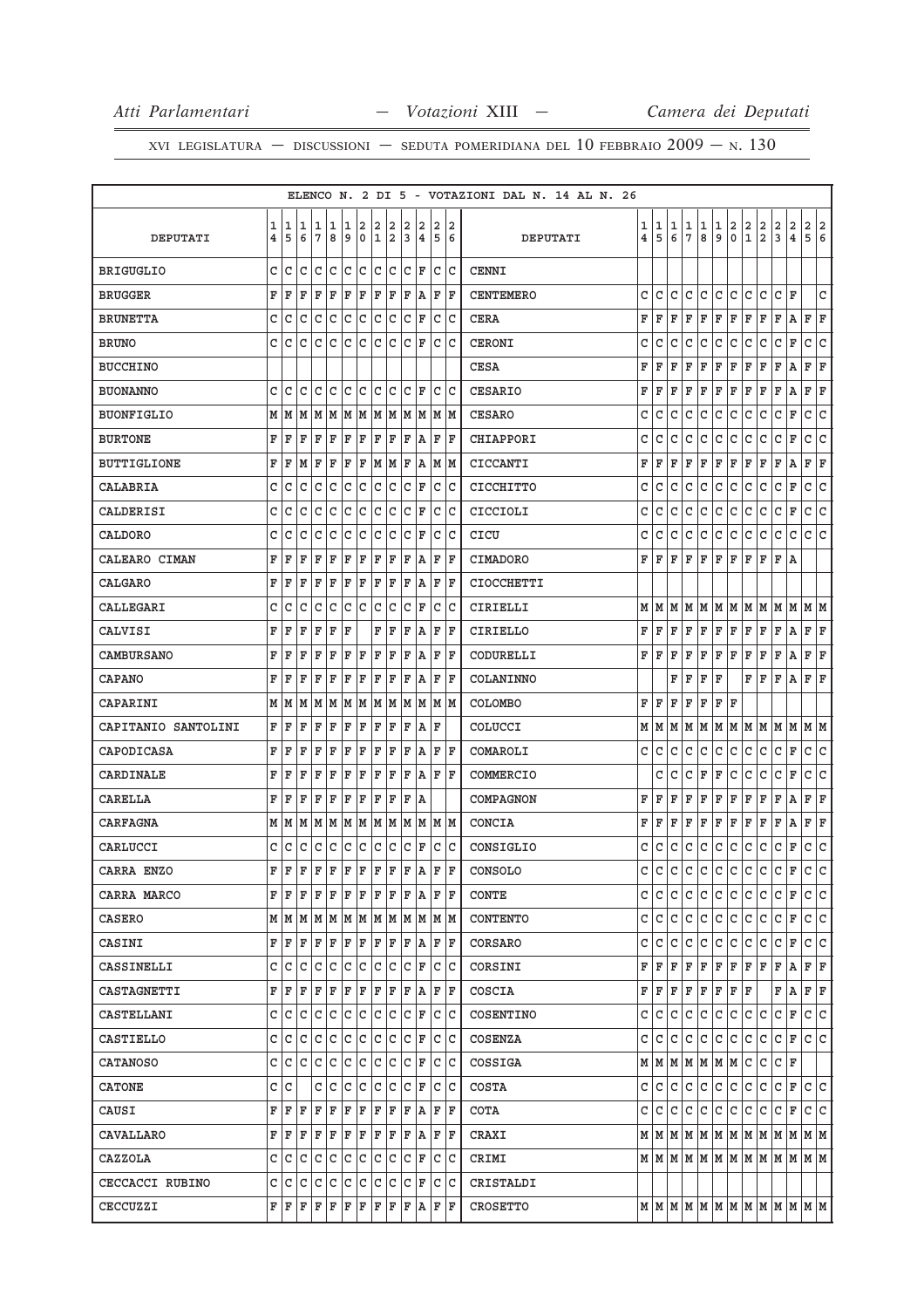|                     |   |           |              |    |             |     |             |   |      |              |     |                              |     | ELENCO N. 2 DI 5 - VOTAZIONI DAL N. 14 AL N. 26 |                |                             |                |              |            |     |                     |              |               |                |                                                                             |              |                |
|---------------------|---|-----------|--------------|----|-------------|-----|-------------|---|------|--------------|-----|------------------------------|-----|-------------------------------------------------|----------------|-----------------------------|----------------|--------------|------------|-----|---------------------|--------------|---------------|----------------|-----------------------------------------------------------------------------|--------------|----------------|
|                     | 1 | 1         | 1            | 1  | 1           | 1   | 2           | 2 | 2    | 2            | 2   | 2                            | 2   |                                                 | 1              | 1                           | 1              | 1            | 1          | 1   | 2                   | 2            | $\frac{2}{2}$ | 2              | $\overline{\mathbf{c}}$                                                     | 2            | 2              |
| DEPUTATI            | 4 | 5         | 6            | 7  | 8           | 9   | $\mathbf 0$ | 1 | 2    | 3            | 14  | 5                            | 6   | DEPUTATI                                        | $\overline{4}$ | 5                           | 6              | 7            | 8          | 9   | $\mathsf{o}\xspace$ | $\mathbf{1}$ |               | $\overline{3}$ | $\overline{4}$                                                              | 5            | $\overline{6}$ |
| <b>BRIGUGLIO</b>    | C | C         | C            | C  | C           | c   | Iс          | C | lc   | C            | ΙF  | C                            | ١c  | <b>CENNI</b>                                    |                |                             |                |              |            |     |                     |              |               |                |                                                                             |              |                |
| <b>BRUGGER</b>      | F | F         | F            | F  | F           | F   | F           | F | F    | F            | ١A  | F                            | ΙF  | <b>CENTEMERO</b>                                | c              | C                           | c              | C            | c          | C   | C                   | c            | C             | c              | F                                                                           |              | C              |
| <b>BRUNETTA</b>     | C | C         | C            | C  | C           | C   | C           | C | C    | C            | ΙF  | C                            | lc  | <b>CERA</b>                                     | F              | F                           | F              | F            | F          | F   | ΙF                  | F            | F             | F              | Α                                                                           | F            | F              |
| <b>BRUNO</b>        | C | C         | C            | C  | C           | C   | C           | C | C    | C            | ΙF  | C                            | lc  | <b>CERONI</b>                                   | С              | С                           | С              | C            | C          | C   | С                   | C            | C             | C              | F                                                                           | С            | C              |
| <b>BUCCHINO</b>     |   |           |              |    |             |     |             |   |      |              |     |                              |     | <b>CESA</b>                                     | F              | F                           | F              | F            | F          | F   | F                   | F            | F             | F              | Α                                                                           | F            | F              |
| <b>BUONANNO</b>     | C | C         | C            | C  | C           | C   | C           | C | C    | C            | ΙF  | C                            | lc  | <b>CESARIO</b>                                  | F              | ΙF                          | F              | F            | F          | F   | F                   | F            | F             | F              | Α                                                                           | F            | F              |
| <b>BUONFIGLIO</b>   | М | M         | M            | M  | M           | M   | M           | M | M    | M            | M   |                              | M M | <b>CESARO</b>                                   | C              | C                           | C              | C            | С          | С   | С                   | С            | C             | C              | F                                                                           | $\mathtt{C}$ | C              |
| <b>BURTONE</b>      | F | F         | F            | F  | F           | F   | F           | F | ΙF   | F            | ١A  | F                            | ΙF  | CHIAPPORI                                       | C              | C                           | C              | C            | C          | С   | C                   | C            | C             | c              | F                                                                           | C            | C              |
| <b>BUTTIGLIONE</b>  | F | F         | M            | ΙF | $\mathbf F$ | F   | F           |   | M  M | F            | ΙA  |                              | MM  | CICCANTI                                        | F              | F                           | F              | F            | F          | F   | F                   | F            | F             | F              | Α                                                                           | F            | F              |
| CALABRIA            | C | C         | C            | C  | C           | C   | C           | C | C    | C            | ΙF  | C                            | lc  | CICCHITTO                                       | C              | С                           | С              | C            | С          | С   | C                   | C            | C             | С              | F                                                                           | C            | C              |
| CALDERISI           | C | C         | C            | C  | C           | C   | C           | C | C    | C            | ΙF  | C                            | lc  | CICCIOLI                                        | С              | С                           | C              | С            | C          | C   | C                   | C            | C             | C              | F                                                                           | С            | C              |
| CALDORO             | C | C         | C            | C  | C           | C   | C           | C | C    | C            | ΙF  | C                            | Iс  | CICU                                            | C              | C                           | C              | С            | C          | C   | C                   | С            | С             | C              | C                                                                           | C            | C              |
| CALEARO CIMAN       | F | ΙF        | F            | F  | F           | F   | F           | F | F    | F            | ١A  | F                            | ΙF  | <b>CIMADORO</b>                                 | F              | ΙF                          | F              | ΙF           | F          | F   | ΙF                  | F            | $\mathbf F$   | F              | Α                                                                           |              |                |
| <b>CALGARO</b>      | F | F         | F            | F  | F           | F   | F           | F | ΙF   | F            | ١A  | F                            | ΙF  | <b>CIOCCHETTI</b>                               |                |                             |                |              |            |     |                     |              |               |                |                                                                             |              |                |
| CALLEGARI           | C | C         | C            | C  | C           | C   | C           | C | C    | C            | ΙF  | C                            | lc  | CIRIELLI                                        | м              | lМ                          | М              | M            | M          | MM  |                     | М            | M             | М              | М                                                                           | м            | M              |
| CALVISI             | F | F         | F            | F  | F           | F   |             | F | F    | F            | A   | F                            | ΙF  | CIRIELLO                                        | F              | F                           | ΙF             | F            | F          | F F |                     | F            | ΙF            | F              | A                                                                           | F F          |                |
| CAMBURSANO          | F | F         | F            | F  | F           | F   | F           | F | F    | F            | A   | F                            | ΙF  | CODURELLI                                       | F              | F                           | F              | F            | F          | F   | F                   | F            | F             | F              | А                                                                           | F            | F              |
| <b>CAPANO</b>       | F | F         | F            | F  | F           | F   | F           | F | ΙF   | F            | ١A  | F                            | ΙF  | COLANINNO                                       |                |                             | F              | F            | F          | F   |                     | F            | ΙF            | F              | Α                                                                           | F            | ΙF             |
| CAPARINI            | M | M         | M            | M  | M           | M   | M           | M | M    | M            | M   | M                            | lм  | <b>COLOMBO</b>                                  | F              | ΙF                          | F              | F            | F          | F   | ΙF                  |              |               |                |                                                                             |              |                |
| CAPITANIO SANTOLINI | F | F         | F            | F  | F           | F   | F           | F | ΙF   | F            | ١A  | F                            |     | COLUCCI                                         |                | MIM                         | M              | M            | M          | M M |                     | M            | M             | M              | M                                                                           | M M          |                |
| CAPODICASA          | F | F         | F            | F  | F           | F   | F           | F | F    | F            | ١A  | F                            | ΙF  | COMAROLI                                        | C              | C                           | C              | C            | C          | С   | C                   | C            | C             | С              | F                                                                           | с            | c              |
| CARDINALE           | F | F         | F            | F  | F           | F   | F           | F | F    | F            | A   | F                            | ΙF  | COMMERCIO                                       |                | c                           | C              | C            | F          | F   | C                   | C            | C             | C              | F                                                                           | С            | C              |
| CARELLA             | F | F         | F            | F  | $\mathbf F$ | F   | F           | F | F    | F            | ١A  |                              |     | COMPAGNON                                       | F              | F                           | F              | F            | F          | F   | F                   | F            | F             | F              | Α                                                                           | F            | F              |
| <b>CARFAGNA</b>     | М | M         | M            | M  | M           | M   | M           | M | M    | M            | M   |                              | M M | CONCIA                                          | F              | F                           | F              | F            | F          | F   | F                   | F            | F             | F              | А                                                                           | F            | F              |
| CARLUCCI            | C | C         | C            | С  | С           | С   | С           | С | C    | C            | ΙF  | C                            | lc  | CONSIGLIO                                       | с              | С                           | с              | $\mathtt{C}$ | C          | C   | C                   | C            | С             | C              | F                                                                           | C            | C              |
| CARRA ENZO          | F | F         | $\mathbf{F}$ | F  | $\mathbf F$ | ΙF  | $\mathbf F$ | F | F    | F            | ١A  | F                            | F   | CONSOLO                                         | C.             | C                           |                |              | lclclclclc |     |                     | c.           | ∣c∙           | C              | $\mathbf F$                                                                 | C            | lc             |
| CARRA MARCO         | F | ΙF        | F            | F  | F           | F   | F           | F | ΙF   | F            | ١A  |                              | F F | <b>CONTE</b>                                    |                | C C                         | C              | C            | С          | С   | lc.                 | С            | С             | C              | F                                                                           | c c          |                |
| CASERO              |   | M   M   M |              |    |             |     |             |   |      |              |     | M  M  M  M  M  M  M  M  M  M |     | <b>CONTENTO</b>                                 |                | c   c                       | l C            | lc.          | l C        | c c |                     | c            | lc.           | c              | F                                                                           | c c          |                |
| CASINI              | F | ΙF        | F            | F  | $\mathbf F$ | F   | F           | F | F    | F            | ١A  |                              | FF  | CORSARO                                         | c              | IC.                         | C              | С            | C          | C   | lc.                 | C            | C             | С              | F                                                                           | C C          |                |
| CASSINELLI          | c | ГC        | C            | C  | C           | c.  | c           | C | Iс   |              | CF  |                              | C C | CORSINI                                         |                | FF                          | $(\mathbf{F})$ | F            | F          | F F |                     | F F          |               | F              | A                                                                           | F F          |                |
| CASTAGNETTI         | F | ΙF        | F            | F  | $\mathbf F$ | F   | F           | F | F    | F            | ١A  | F                            | ΙF  | COSCIA                                          |                | FF                          |                | $F$ $F$      | F          |     | F  F  F             |              |               | F              | Α                                                                           | FF           |                |
| CASTELLANI          | C | c         | C            | С  | С           | C   | c           | c | ∣c   | C            | F   |                              | c c | COSENTINO                                       | C              | lc.                         | C.             | C            | C          | C   | C                   | C            | С             | c              | F                                                                           | c c          |                |
| CASTIELLO           | c | Iс        | C            | C  | C           | c   | lc.         | c | lc   | $\mathtt{C}$ | ΙF  |                              | c c | COSENZA                                         |                | c   c                       | l C            | lc.          | C          | c c |                     | C            | C             | C F            |                                                                             | c c          |                |
| <b>CATANOSO</b>     |   | C C       | С            | С  | С           | С   | С           | С | IС   |              | CF  |                              | C C | COSSIGA                                         |                | $M$ $M$ $M$ $M$ $M$ $M$ $M$ |                |              |            |     |                     | IC.          | С             | C F            |                                                                             |              |                |
| CATONE              |   | C C       |              | C  | C           | C   | C           | С | lc   | С            | ΙF  |                              | C C | COSTA                                           |                | C C C C                     |                |              | c.         | c c |                     | C            | C             | c              | lF.                                                                         | c c          |                |
| CAUSI               | F | ΙF        | F            | F  | $\mathbf F$ | F   | F           | F | F    | F            | A   | F                            | ΙF  | COTA                                            |                | c   c                       | lC.            | lc.          | C          | C   | lc.                 | c            | С             | C              | F                                                                           | C C          |                |
| CAVALLARO           |   | F F       | ΙF           | F  | F           | F F |             |   | F F  |              | F A |                              | F F | CRAXI                                           |                |                             |                |              |            |     |                     |              |               |                | $M$   $M$   $M$   $M$   $M$   $M$   $M$   $M$   $M$   $M$   $M$   $M$   $M$ |              |                |
| CAZZOLA             | C | lс        | C            | C  | С           | C   | С           | C | lc.  | C            | F   | C                            | lc  | CRIMI                                           |                |                             |                |              |            |     |                     |              |               |                | $M$   $M$   $M$   $M$   $M$   $M$   $M$   $M$   $M$   $M$   $M$   $M$   $M$ |              |                |
| CECCACCI RUBINO     | c | c         | C            | С  | С           | С   | c           | c | c    | C            | F   |                              | c c | CRISTALDI                                       |                |                             |                |              |            |     |                     |              |               |                |                                                                             |              |                |
| CECCUZZI            |   | FF        | F F          |    | F   F       |     | F F         |   | F    | F            |     | $A$ $F$ $F$                  |     | <b>CROSETTO</b>                                 |                |                             |                |              |            |     |                     |              |               |                | $M \mid M \mid M \mid M \mid M \mid M \mid M \mid M \mid M \mid M$          |              |                |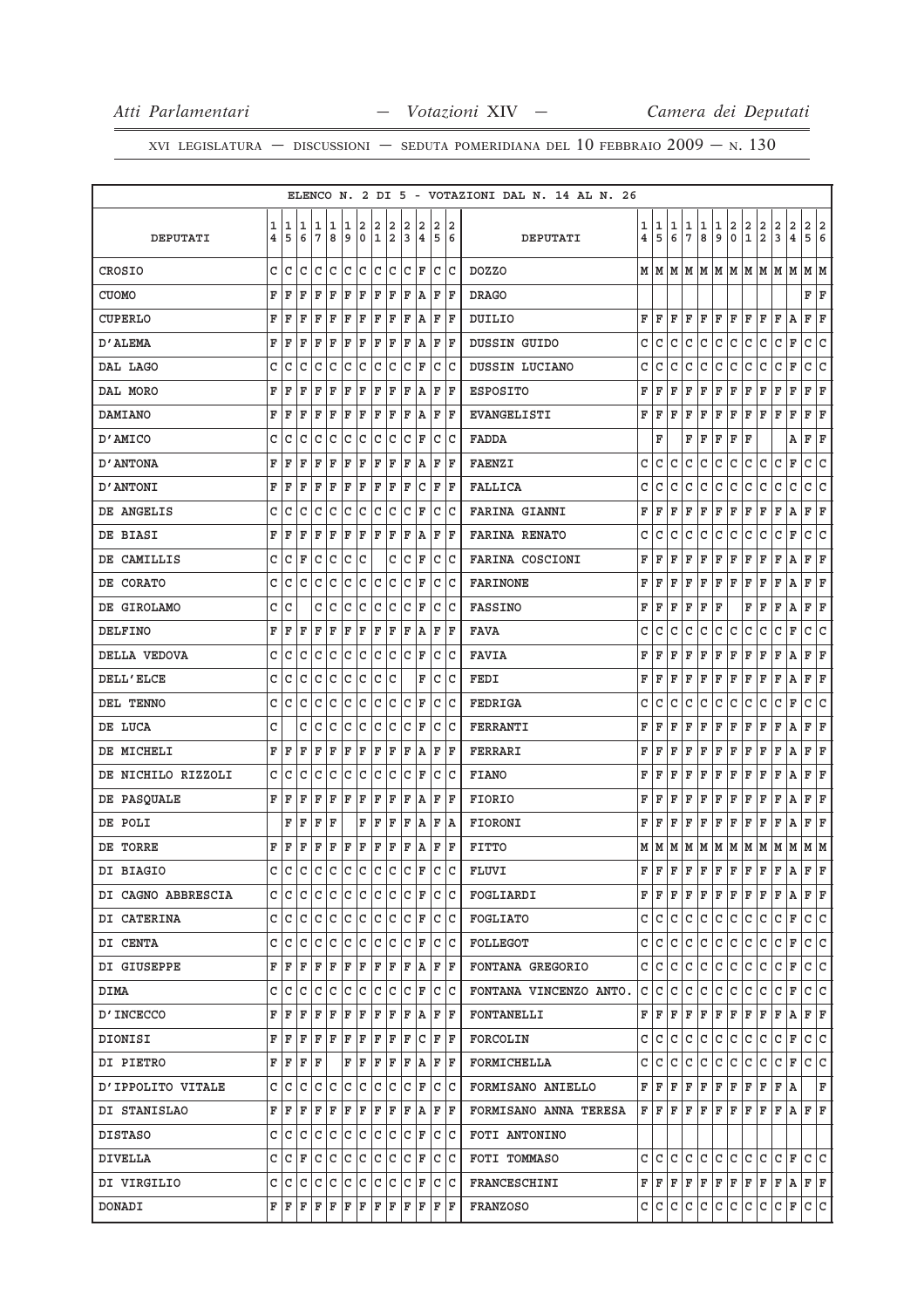|                    |              |              |              |              |              |              |              |                    |              |                    |                                                                                                                                                                                                                                                                                                                                                                                                           |                   |    | ELENCO N. 2 DI 5 - VOTAZIONI DAL N. 14 AL N. 26 |                         |       |     |               |                  |               |                                      |               |                |               |                           |                                                                                                                                                                                              |             |
|--------------------|--------------|--------------|--------------|--------------|--------------|--------------|--------------|--------------------|--------------|--------------------|-----------------------------------------------------------------------------------------------------------------------------------------------------------------------------------------------------------------------------------------------------------------------------------------------------------------------------------------------------------------------------------------------------------|-------------------|----|-------------------------------------------------|-------------------------|-------|-----|---------------|------------------|---------------|--------------------------------------|---------------|----------------|---------------|---------------------------|----------------------------------------------------------------------------------------------------------------------------------------------------------------------------------------------|-------------|
|                    | 1            | 1            | 1            | 1            | 1            | 1            | 2            | 2                  | 2            | 2                  | 2                                                                                                                                                                                                                                                                                                                                                                                                         | 21                |    |                                                 | 1                       | 1     | 1   |               |                  |               |                                      |               |                |               |                           |                                                                                                                                                                                              |             |
| DEPUTATI           | 4            | 5            | 6            | 7            | 8            | 9            |              |                    | 0 1 2        | <sub>3</sub>       | 4                                                                                                                                                                                                                                                                                                                                                                                                         | $\vert 5 \vert 6$ |    | DEPUTATI                                        | $\overline{\mathbf{4}}$ | 5     | 6   | $\frac{1}{7}$ | $\frac{1}{8}$    | $\frac{1}{9}$ | $\begin{matrix} 2 \\ 0 \end{matrix}$ | $\frac{2}{1}$ | $\frac{2}{2}$  | $\frac{2}{3}$ | $\frac{2}{4}$             | $\begin{array}{c c} 2 & 2 \\ 5 & 6 \end{array}$                                                                                                                                              |             |
| CROSIO             | c            | c            | c            | $\mathsf{C}$ | lc.          |              |              |                    |              |                    | c  c  c  c  r                                                                                                                                                                                                                                                                                                                                                                                             | c c               |    | <b>DOZZO</b>                                    |                         | MM    |     |               |                  |               |                                      |               |                |               |                           | MMMMMMMMMMMM                                                                                                                                                                                 |             |
| <b>CUOMO</b>       | F            | F            | F            | F            | F            | F            | F            | F                  | F            | F                  | A                                                                                                                                                                                                                                                                                                                                                                                                         | F  F              |    | <b>DRAGO</b>                                    |                         |       |     |               |                  |               |                                      |               |                |               |                           | F F                                                                                                                                                                                          |             |
| CUPERLO            | F            | F            | F            | F            | F            | ΙF           | F            | F                  | F            | ΙF                 | A                                                                                                                                                                                                                                                                                                                                                                                                         | ΙF                | ΙF | DUILIO                                          | F                       | F     | F   | F             | F                | F             | F                                    | F             | F              | F             | Α                         | F                                                                                                                                                                                            | $\mathbf F$ |
| D'ALEMA            | F            | F            | F            | F            | $\mathbf F$  | F            | F            |                    | F F          |                    | F A                                                                                                                                                                                                                                                                                                                                                                                                       | F F               |    | DUSSIN GUIDO                                    | С                       | C     | С   | C             | С                | С             | c                                    | C             | C              | С             | F                         | C                                                                                                                                                                                            | c           |
| DAL LAGO           | C            | C            | C            | C            | C            | C            | $\mathtt{C}$ |                    | c c          |                    | $ c $ F                                                                                                                                                                                                                                                                                                                                                                                                   | c c               |    | DUSSIN LUCIANO                                  | C                       | C     | C   | C             | C                | $\mathtt{C}$  | $\mathtt{C}$                         | $\mathtt{C}$  | $\mathtt{C}$   | C             | F                         | C                                                                                                                                                                                            | c           |
| DAL MORO           | F            | F            | F            | F            | F            | F            | F            | F                  | F            | F                  | A,                                                                                                                                                                                                                                                                                                                                                                                                        | F F               |    | <b>ESPOSITO</b>                                 | F                       | F     | F   | F             | F                | F             | F                                    | F             | F              | F             | F                         | F F                                                                                                                                                                                          |             |
| <b>DAMIANO</b>     | F            | F            | F            | F            | F            | F            | ΙF           | F                  | F            | F                  |                                                                                                                                                                                                                                                                                                                                                                                                           | A F F             |    | EVANGELISTI                                     | F                       | F     | F   | F             | F                | F             | F                                    | F             | F              | F             | F                         | F F                                                                                                                                                                                          |             |
| D'AMICO            | c            | C            | C            | C            | С            | С            | C            |                    | c c          |                    | $ c $ F                                                                                                                                                                                                                                                                                                                                                                                                   | lc Ic             |    | <b>FADDA</b>                                    |                         | F     |     | F             | F                | F             | F                                    | F             |                |               | Α                         | F F                                                                                                                                                                                          |             |
| <b>D'ANTONA</b>    | F            | F            | F            | F            | F            | F            | F            | F                  | F            | F                  | A                                                                                                                                                                                                                                                                                                                                                                                                         | F F               |    | <b>FAENZI</b>                                   | C                       | С     | C   | C             | C                | С             | C                                    | С             | С              | С             | F                         | C                                                                                                                                                                                            | c           |
| D'ANTONI           | F            | F            | F            | F            | F            | F            | F            | F                  | F            | F                  | lc.                                                                                                                                                                                                                                                                                                                                                                                                       | F                 | ΙF | <b>FALLICA</b>                                  | C                       | C     | C   | C             | C                | С             | C                                    | С             | C              | С             | С                         | C                                                                                                                                                                                            | C           |
| DE ANGELIS         | c            | C            | С            | C            | С            | C            | c            | lc.                | c            |                    | $ c $ F                                                                                                                                                                                                                                                                                                                                                                                                   | lc lc             |    | <b>FARINA GIANNI</b>                            | F                       | F     | F   | F             | F                | F             | F                                    | $\mathbf F$   | F              | F             | Α                         | F F                                                                                                                                                                                          |             |
| DE BIASI           | F            | F            | F            | F            | F            | F            | F            | F                  | F            | F                  | A                                                                                                                                                                                                                                                                                                                                                                                                         | F   F             |    | <b>FARINA RENATO</b>                            | C                       | C     | C   | $\mathtt{C}$  | $\mathtt{C}$     | $\mathtt{C}$  | $\mathtt{C}$                         | C             | $\mathtt{C}$   | C             | F                         | C                                                                                                                                                                                            | C           |
| DE CAMILLIS        | C            | C            | F            | $\mathtt{C}$ | $\mathtt{C}$ | $\mathtt{C}$ | $\mathtt{C}$ |                    | $\mathtt{C}$ |                    | $ c _F$                                                                                                                                                                                                                                                                                                                                                                                                   | $ c\> c $         |    | FARINA COSCIONI                                 | F                       | F     | F   | F             | F                | F             | F                                    | F             | F              | F             | Α                         | F F                                                                                                                                                                                          |             |
| DE CORATO          | c            | C            | c            | c            | С            | С            | $\mathbf{C}$ |                    | c c          |                    | $ c $ F                                                                                                                                                                                                                                                                                                                                                                                                   | c  c              |    | <b>FARINONE</b>                                 | F                       | F     | F   | F             | F                | F             | F                                    | F             | F              | F             | Α                         | F F                                                                                                                                                                                          |             |
| DE GIROLAMO        | С            | C            |              | C            | C            | C            | C            |                    | c c          |                    | $ c $ F                                                                                                                                                                                                                                                                                                                                                                                                   | lc lc             |    | <b>FASSINO</b>                                  | F                       | F     | F   | F             | F                | F             |                                      | F             | F              | F             | Α                         | F                                                                                                                                                                                            | F           |
| DELFINO            | F            | F            | F            | F            | F            | $\mathbf{F}$ | F            |                    | F F          |                    | F A                                                                                                                                                                                                                                                                                                                                                                                                       | F F               |    | <b>FAVA</b>                                     | C                       | С     | C   | С             | C                | С             | C                                    | С             | С              | С             | F                         | C                                                                                                                                                                                            | c           |
| DELLA VEDOVA       | C            | C            | С            | C            | $\mathtt{C}$ | c            | $\mathtt{C}$ |                    | c c          |                    | $ c $ F                                                                                                                                                                                                                                                                                                                                                                                                   | c c               |    | <b>FAVIA</b>                                    | F                       | F     | F   | F             | F                | F             | F                                    | F             | F              | F             | Α                         | F                                                                                                                                                                                            | F           |
| DELL'ELCE          | c            | C            | С            | C            | $\mathtt{C}$ | c            | C            |                    | c c          |                    | F                                                                                                                                                                                                                                                                                                                                                                                                         | lc lc             |    | FEDI                                            | F                       | F     | F   | F             | F                | F             | F                                    | F             | $\mathbf F$    | F             | Α                         | F F                                                                                                                                                                                          |             |
| DEL TENNO          | C            | C            | C            | C            | $\mathtt{C}$ | $\mathtt{C}$ | c            |                    | c c          |                    | $ c _F$                                                                                                                                                                                                                                                                                                                                                                                                   | lc lc             |    | FEDRIGA                                         | C                       | C     | C   | C             | $\mathtt{C}$     | $\mathtt{C}$  | $\mathtt{C}$                         | C             | C              | $\mathtt{C}$  | F                         | C                                                                                                                                                                                            | c           |
| DE LUCA            | C            |              | c            | C            | C            | C            | $\mathtt{C}$ |                    | c c          |                    | C F                                                                                                                                                                                                                                                                                                                                                                                                       | lc lc             |    | FERRANTI                                        | F                       | F     | F   | F             | F                | F             | F                                    | F             | F              | F             | Α                         | F                                                                                                                                                                                            | F           |
| DE MICHELI         |              | FF           | F            | F            | F            | F            | ΙF           |                    | F F          |                    | F A                                                                                                                                                                                                                                                                                                                                                                                                       | F  F              |    | FERRARI                                         | F                       | F     | F   | F             | F                | F             | F                                    | F             | F              | F             | Α                         | F F                                                                                                                                                                                          |             |
| DE NICHILO RIZZOLI | С            | C            | С            | С            | C            | C            | c            |                    | c c          |                    | $ c $ F                                                                                                                                                                                                                                                                                                                                                                                                   | lc lc             |    | <b>FIANO</b>                                    | F                       | F     | F   | F             | F                | F             | F                                    | F             | F              | F             | Α                         | F                                                                                                                                                                                            | F           |
| DE PASQUALE        |              | FF           | F            | F            | $\mathbf F$  | $\mathbf{F}$ | F            | $\bar{\mathbf{F}}$ | F            | $\bar{\mathbf{F}}$ | A,                                                                                                                                                                                                                                                                                                                                                                                                        | F F               |    | <b>FIORIO</b>                                   | F                       | F     | F   | F             | F                | F             | F                                    | F             | F              | F             | Α                         | F F                                                                                                                                                                                          |             |
| DE POLI            |              | F            | F            | F            | F            |              | F            | F                  | F            | F                  | A                                                                                                                                                                                                                                                                                                                                                                                                         | F A               |    | FIORONI                                         | F                       | F     | F   | F             | F                | F             | F                                    | F             | F              | F             | Α                         | F                                                                                                                                                                                            | F           |
| DE TORRE           |              | FF           | F            | F            | F            | F F          |              |                    | F F          |                    | F A                                                                                                                                                                                                                                                                                                                                                                                                       | F F               |    | <b>FITTO</b>                                    |                         | MM    | M   | М             | M                |               | $M$ $M$ $M$                          |               | M M            |               | M                         | MM                                                                                                                                                                                           |             |
| DI BIAGIO          | $\mathsf{C}$ | $\mathtt{C}$ | $\mathtt{C}$ | $\mathtt{C}$ |              | c c          |              |                    |              |                    | $ c c c c _F$                                                                                                                                                                                                                                                                                                                                                                                             | $\overline{C}$    | c  | FLUVI                                           | F                       | F     | F   | $\mathbf{F}$  | F                | $\mathbf{F}$  | F                                    | $\mathbf{F}$  | $\mathbf F$    | $\mathbf{F}$  | $\boldsymbol{\mathsf{A}}$ | FF                                                                                                                                                                                           |             |
| DI CAGNO ABBRESCIA |              |              |              |              |              |              |              |                    |              |                    | cicicicicicicicicici ricic                                                                                                                                                                                                                                                                                                                                                                                |                   |    | FOGLIARDI                                       |                         | F F.  |     | $F$ $F$       |                  |               |                                      |               |                |               |                           | $F F F F F F A F F$                                                                                                                                                                          |             |
| DI CATERINA        |              |              |              |              |              |              |              |                    |              |                    | cicicicicicicicici ricic                                                                                                                                                                                                                                                                                                                                                                                  |                   |    | FOGLIATO                                        |                         | C C C |     |               |                  |               |                                      |               | $C C C C C C $ | C F           |                           | C C                                                                                                                                                                                          |             |
| DI CENTA           |              |              |              |              |              |              |              |                    |              |                    | c c c c c c c c c c c F c c                                                                                                                                                                                                                                                                                                                                                                               |                   |    | FOLLEGOT                                        |                         | c Ic  | c   | C             | С                | C             | C                                    | C             | С              | C             | F                         | C C                                                                                                                                                                                          |             |
| DI GIUSEPPE        |              |              |              |              |              |              |              |                    |              |                    | F F F F F F F F F F F A F F F                                                                                                                                                                                                                                                                                                                                                                             |                   |    | FONTANA GREGORIO                                |                         | C C C |     | C             | C                | c             | c.                                   | $\mathsf{C}$  | C              | C F           |                           | c c                                                                                                                                                                                          |             |
| <b>DIMA</b>        |              | c Ic         | $\mathsf{C}$ |              |              |              |              |                    |              |                    |                                                                                                                                                                                                                                                                                                                                                                                                           |                   |    | FONTANA VINCENZO ANTO.                          |                         | C C   | lc. | C             | c                | $\mathsf{C}$  | C                                    | $\mathsf{C}$  | C              | C F           |                           | C C                                                                                                                                                                                          |             |
| <b>D'INCECCO</b>   |              |              | F F F F F    |              |              |              |              |                    |              |                    | F F F F F A F F                                                                                                                                                                                                                                                                                                                                                                                           |                   |    | <b>FONTANELLI</b>                               |                         | FF    | F   | F             | F                |               |                                      |               | F F F F F A    |               |                           | F F                                                                                                                                                                                          |             |
| DIONISI            |              |              |              |              |              |              |              |                    |              |                    | F F F F F F F F F F F C F F                                                                                                                                                                                                                                                                                                                                                                               |                   |    | FORCOLIN                                        |                         | C C   | c   | С             | C                | c             | c.                                   | $\mathtt{C}$  | c.             | CF            |                           | c c                                                                                                                                                                                          |             |
| DI PIETRO          |              |              | F F F F      |              |              |              |              |                    |              |                    | $\mathbf{F} \mid \mathbf{F} \mid \mathbf{F} \mid \mathbf{F} \mid \mathbf{F} \mid \mathbf{A} \mid \mathbf{F} \mid \mathbf{F}$                                                                                                                                                                                                                                                                              |                   |    | FORMICHELLA                                     | C I                     | C     | C   | С             | С                | $\mathsf{C}$  | C                                    | $\mathsf{C}$  | $\overline{c}$ | C F           |                           | C C                                                                                                                                                                                          |             |
| D'IPPOLITO VITALE  |              | C C          |              |              |              |              |              |                    |              |                    |                                                                                                                                                                                                                                                                                                                                                                                                           |                   |    | FORMISANO ANIELLO                               |                         | F F F |     | F             | F                |               | F F                                  | F             | F              | F A           |                           |                                                                                                                                                                                              | F           |
| DI STANISLAO       |              |              |              |              |              |              |              |                    |              |                    | ${\tt F} \,   \, {\tt F} \,   \, {\tt F} \,   \, {\tt F} \,   \, {\tt F} \,   \, {\tt F} \,   \, {\tt F} \,   \, {\tt F} \,   \, {\tt F} \,   \, {\tt F} \,   \, {\tt F} \,   \, {\tt F} \,   \, {\tt F} \,   \, {\tt F} \,   \, {\tt F} \,   \, {\tt F} \,   \, {\tt F} \,   \, {\tt F} \,   \, {\tt F} \,   \, {\tt F} \,   \, {\tt F} \,   \, {\tt F} \,   \, {\tt F} \,   \, {\tt F} \,   \, {\tt F}$ |                   |    | FORMISANO ANNA TERESA                           |                         | F F F |     | F             | F                | F             | F                                    | F             | F              | F A           |                           | F F                                                                                                                                                                                          |             |
| DISTASO            |              |              |              |              |              |              |              |                    |              |                    | C C C C C C C C C C F C C                                                                                                                                                                                                                                                                                                                                                                                 |                   |    | FOTI ANTONINO                                   |                         |       |     |               |                  |               |                                      |               |                |               |                           |                                                                                                                                                                                              |             |
| DIVELLA            |              |              |              |              |              |              |              |                    |              |                    |                                                                                                                                                                                                                                                                                                                                                                                                           |                   |    | FOTI TOMMASO                                    |                         | c Ic  | C   | C             | C                |               | c c                                  |               | C C            | C F           |                           | C C                                                                                                                                                                                          |             |
| DI VIRGILIO        |              |              |              |              |              |              |              |                    |              |                    | C C C C C C C C C C F C C                                                                                                                                                                                                                                                                                                                                                                                 |                   |    | FRANCESCHINI                                    |                         |       |     |               |                  |               |                                      |               |                |               |                           | $\mathbf{F} \mid \mathbf{F} \mid \mathbf{F} \mid \mathbf{F} \mid \mathbf{F} \mid \mathbf{F} \mid \mathbf{F} \mid \mathbf{F} \mid \mathbf{F} \mid \mathbf{A} \mid \mathbf{F} \mid \mathbf{F}$ |             |
| DONADI             |              |              |              |              |              |              |              |                    |              |                    | ${\tt F}$ ${\tt F}$ ${\tt F}$ ${\tt F}$ ${\tt F}$ ${\tt F}$ ${\tt F}$ ${\tt F}$ ${\tt F}$ ${\tt F}$ ${\tt F}$ ${\tt F}$ ${\tt F}$                                                                                                                                                                                                                                                                         |                   |    | <b>FRANZOSO</b>                                 |                         |       |     |               | $C C C C C C C $ |               |                                      |               | $ c\, c\, $    |               |                           | $ C $ F $ C C $                                                                                                                                                                              |             |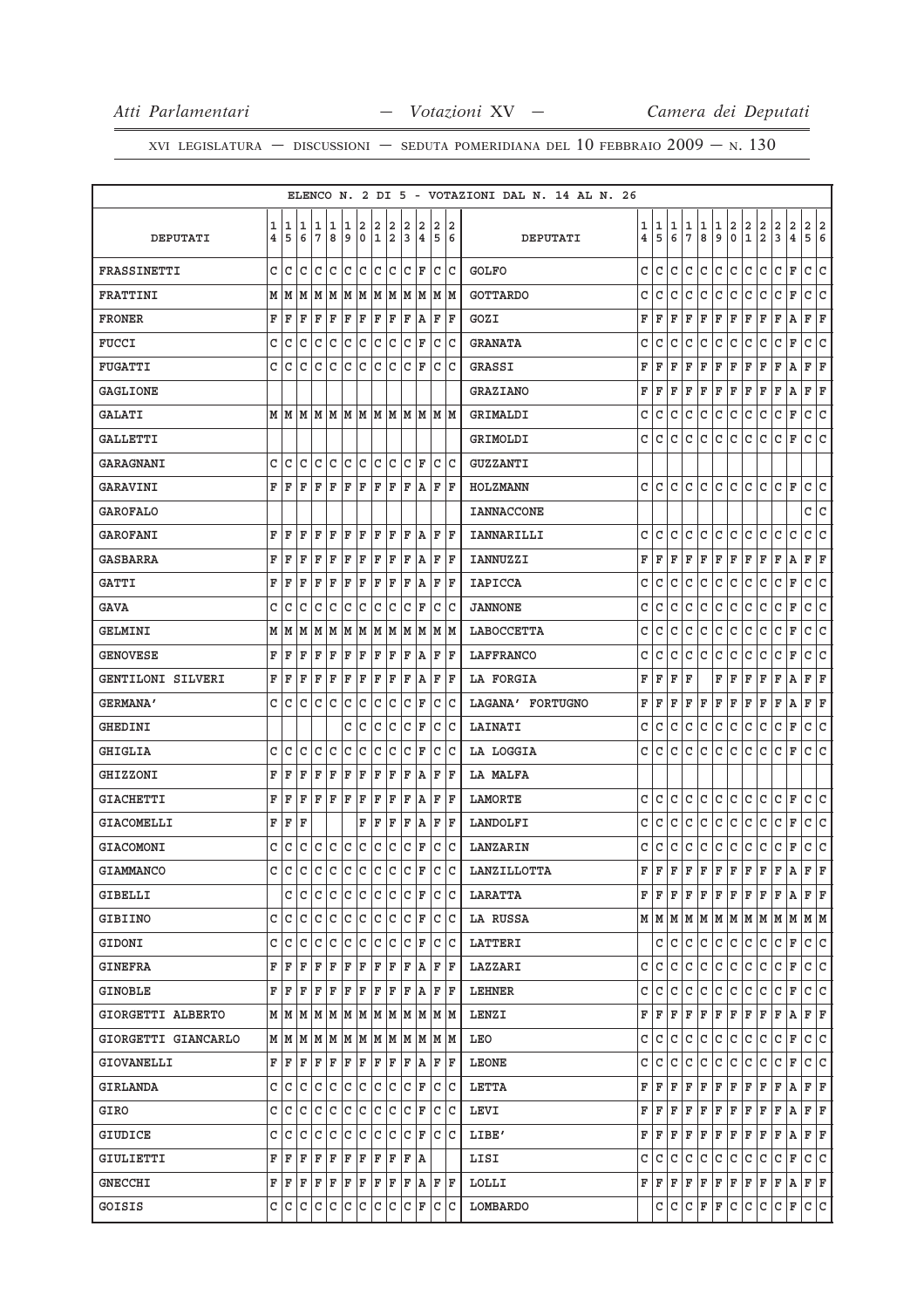|                     |              |       |   |              |              |     |              |                         |     |     |                                                                                                                                                                                                                                                                                                                                                                                                           |   |             |    | ELENCO N. 2 DI 5 - VOTAZIONI DAL N. 14 AL N. 26 |                |             |    |              |     |              |                                      |               |               |               |               |                                                 |
|---------------------|--------------|-------|---|--------------|--------------|-----|--------------|-------------------------|-----|-----|-----------------------------------------------------------------------------------------------------------------------------------------------------------------------------------------------------------------------------------------------------------------------------------------------------------------------------------------------------------------------------------------------------------|---|-------------|----|-------------------------------------------------|----------------|-------------|----|--------------|-----|--------------|--------------------------------------|---------------|---------------|---------------|---------------|-------------------------------------------------|
|                     | 1            | 1     | 1 | 1            | 1            | 1   | 2            | $\overline{\mathbf{2}}$ | 2   | 2   | 2                                                                                                                                                                                                                                                                                                                                                                                                         |   | 2 2         |    |                                                 | 1              | 1           | 1  | 1            | 1   | $\mathbf{1}$ | $\begin{matrix} 2 \\ 0 \end{matrix}$ | $\frac{2}{1}$ |               | $\frac{2}{3}$ |               |                                                 |
| <b>DEPUTATI</b>     | 4            | 5     | 6 | 7            | 8            | 9   |              | 0 1 2                   |     |     | 3 4 5 6                                                                                                                                                                                                                                                                                                                                                                                                   |   |             |    | DEPUTATI                                        | $\overline{4}$ | 5           | 6  | 7            | 8   | 9            |                                      |               | $\frac{2}{2}$ |               | $\frac{2}{4}$ | $\begin{array}{c c} 2 & 2 \\ 5 & 6 \end{array}$ |
| FRASSINETTI         | C            | C     | c | $\mathsf{C}$ |              |     |              |                         |     |     | Icicicicici F                                                                                                                                                                                                                                                                                                                                                                                             |   | lc Ic       |    | <b>GOLFO</b>                                    | c              | C           | c  | С            | c   | С            | С                                    | С             | С             | c             | F             | С<br>C                                          |
| FRATTINI            |              | MM    |   |              |              |     |              |                         |     |     |                                                                                                                                                                                                                                                                                                                                                                                                           |   |             |    | <b>GOTTARDO</b>                                 | C              | С           | С  | С            | С   | С            | $\mathtt{C}$                         | C             | С             | C             | F             | C<br>c                                          |
| <b>FRONER</b>       | F            | F     | F | F            | F            | F   | F            | F                       | ΙF  | F   | ١A                                                                                                                                                                                                                                                                                                                                                                                                        | F |             | ΙF | GOZI                                            | F              | F           | F  | F            | F   | F            | F                                    | F             | F             | F             | Α             | F<br>F                                          |
| FUCCI               | c            | C     | C | $\mathtt{C}$ | $\mathtt{C}$ | C   | $\mathtt{C}$ |                         | c c |     | $ c $ F                                                                                                                                                                                                                                                                                                                                                                                                   |   | c c         |    | <b>GRANATA</b>                                  | C              | C           | С  | C            | С   | C            | $\mathtt{C}$                         | C             | C             | C             | F             | C<br>C                                          |
| FUGATTI             | C            | C     | C | C            | $\mathtt{C}$ |     | c c          |                         | c c |     | lc IF                                                                                                                                                                                                                                                                                                                                                                                                     |   | lc lc       |    | GRASSI                                          | F              | F           | F  | F            | F   | F            | F                                    | F             | F             | F             | Α             | F F                                             |
| <b>GAGLIONE</b>     |              |       |   |              |              |     |              |                         |     |     |                                                                                                                                                                                                                                                                                                                                                                                                           |   |             |    | <b>GRAZIANO</b>                                 | F              | F           | F  | F            | F   | F            | F                                    | F             | F             | F             | Α             | F<br>F                                          |
| GALATI              |              |       |   |              |              |     |              |                         |     |     |                                                                                                                                                                                                                                                                                                                                                                                                           |   |             |    | GRIMALDI                                        | C              | С           | С  | С            | С   | С            | С                                    | С             | C             | c             | F             | c<br>С                                          |
| GALLETTI            |              |       |   |              |              |     |              |                         |     |     |                                                                                                                                                                                                                                                                                                                                                                                                           |   |             |    | GRIMOLDI                                        | С              | C           | c  | C            | c   | c            | С                                    | С             | c             | c             | F             | c<br>C                                          |
| <b>GARAGNANI</b>    | $\mathsf{C}$ | С     | С | c            | lc.          |     | c c          |                         | c c |     | $ C $ F                                                                                                                                                                                                                                                                                                                                                                                                   |   | c c         |    | GUZZANTI                                        |                |             |    |              |     |              |                                      |               |               |               |               |                                                 |
| <b>GARAVINI</b>     |              | FF    | F | F            | $\mathbf F$  | F   | F            | F                       | F   | F   |                                                                                                                                                                                                                                                                                                                                                                                                           |   | $A$ $F$ $F$ |    | HOLZMANN                                        | c              | C           | c  | C            | C   | C            | С                                    | С             | С             | c             | F             | c<br>C                                          |
| <b>GAROFALO</b>     |              |       |   |              |              |     |              |                         |     |     |                                                                                                                                                                                                                                                                                                                                                                                                           |   |             |    | <b>IANNACCONE</b>                               |                |             |    |              |     |              |                                      |               |               |               |               | C C                                             |
| <b>GAROFANI</b>     | F            | F     | F | F            | F            | F   | F            | ΙF                      | ΙF  | F   | ١A                                                                                                                                                                                                                                                                                                                                                                                                        |   | ΙF          | ΙF | IANNARILLI                                      | C              | C           | C  | $\mathtt{C}$ | C   | C            | C                                    | C             | $\mathtt{C}$  | С             | $\mathsf{C}$  | $\mathtt{C}$<br>C                               |
| GASBARRA            | F            | F     | F | F            | F            | F   | F            | F                       | ΙF  | ΙF  | ١A                                                                                                                                                                                                                                                                                                                                                                                                        |   | F F         |    | IANNUZZI                                        | F              | F           | F  | F            | F   | F            | F                                    | F             | F             | F             | Α             | F<br>ΙF                                         |
| <b>GATTI</b>        | F            | F     | F | F            | F            | F   | F            | F                       | ΙF  | F   | A                                                                                                                                                                                                                                                                                                                                                                                                         |   | F  F        |    | <b>IAPICCA</b>                                  | C              | C           | C  | C            | С   | С            | c                                    | C             | C             | c             | F             | c<br>с                                          |
| GAVA                | с            | C     | С | С            | С            | lc. | c            |                         | c c |     | $ c _F$                                                                                                                                                                                                                                                                                                                                                                                                   |   | C C         |    | <b>JANNONE</b>                                  | C              | C           | C  | C            | C   | С            | c                                    | С             | С             | c             | F             | с<br>C                                          |
| GELMINI             |              | MM    |   |              |              |     |              |                         |     |     |                                                                                                                                                                                                                                                                                                                                                                                                           |   |             |    | LABOCCETTA                                      | С              | С           | С  | С            | С   | С            | C                                    | С             | C             | c             | F             | c<br>с                                          |
| <b>GENOVESE</b>     | F            | F     | F | F            | F            | F   | F            | F                       | ΙF  | F   | A                                                                                                                                                                                                                                                                                                                                                                                                         |   | F           | ١F | LAFFRANCO                                       | C              | C           | C  | C            | С   | С            | C                                    | С             | C             | С             | F             | C<br>C                                          |
| GENTILONI SILVERI   | F            | F     | F | F            | ΙF           | F   | ΙF           | F F                     |     |     | F A                                                                                                                                                                                                                                                                                                                                                                                                       |   | F  F        |    | LA FORGIA                                       | F              | F           | F  | F            |     | F            | F                                    | F             | F             | F             | Α             | F F                                             |
| <b>GERMANA'</b>     | C.           | С     | C | C            | C            | C   | C            |                         | c c |     | $ c _F$                                                                                                                                                                                                                                                                                                                                                                                                   |   | c c         |    | LAGANA' FORTUGNO                                | F              | F           | F  | F            | F   | F            | F                                    | F             | F             | F             | Α             | F F                                             |
| GHEDINI             |              |       |   |              |              | C.  | C            | $\overline{C}$          | lc  |     | C F                                                                                                                                                                                                                                                                                                                                                                                                       |   | C C         |    | LAINATI                                         | C              | C           | C  | C            | С   | С            | С                                    | С             | C             | c             | F             | с<br>C                                          |
| GHIGLIA             | C.           | C     | c | $\mathsf{C}$ | C            | C   | C            |                         | c c |     | $ c $ F                                                                                                                                                                                                                                                                                                                                                                                                   |   | c c         |    | LA LOGGIA                                       | c              | C           | c  | C            | С   | c            | С                                    | c             | С             | c             | F             | C C                                             |
| <b>GHIZZONI</b>     | F            | F     | F | F            | $\mathbf F$  | F   | F            | F                       | F   | l F | ١A                                                                                                                                                                                                                                                                                                                                                                                                        |   | F           | ΙF | LA MALFA                                        |                |             |    |              |     |              |                                      |               |               |               |               |                                                 |
| <b>GIACHETTI</b>    | F            | F     | F | F            | $\mathbf F$  | F F |              | F                       | F   | F   | A                                                                                                                                                                                                                                                                                                                                                                                                         |   | F  F        |    | LAMORTE                                         | С              | C           | С  | C            | С   | С            | c                                    | С             | С             | c             | F             | c<br>C                                          |
| GIACOMELLI          | F            | F     | F |              |              |     | F            | F                       | F   | F   |                                                                                                                                                                                                                                                                                                                                                                                                           |   | $A$ $F$ $F$ |    | LANDOLFI                                        | C              | C           | С  | C            | С   | C            | c                                    | C             | C             | С             | F             | C<br>c                                          |
| GIACOMONI           | c            | C     | С |              |              |     |              |                         |     |     | $c c c c c c c F$                                                                                                                                                                                                                                                                                                                                                                                         |   | c c         |    | LANZARIN                                        | C              | C           | С  | С            | C   | $\mathtt{C}$ | $\mathtt{C}$                         | $\mathtt{C}$  | $\mathtt{C}$  | C             | $\mathbf F$   | $\overline{\mathsf{C}}$<br>C                    |
| <b>GIAMMANCO</b>    | C            | C     |   |              |              |     |              |                         |     |     |                                                                                                                                                                                                                                                                                                                                                                                                           |   |             |    | $c c c c c c c c F c c $ Lanzillotta            | F              | $\mathbf F$ | F  | F            | F   | F            | F                                    | $\mathbf F$   | F             | F             | A             | $\overline{\mathbf{F}}$<br>$\mathbf{F}$         |
| GIBELLI             |              |       |   |              |              |     |              |                         |     |     | cicicicicicicicici Ficic                                                                                                                                                                                                                                                                                                                                                                                  |   |             |    | LARATTA                                         | F              | F           | F  | F            | F   | F            | F                                    | F             | F             | F             | А             | FF                                              |
| GIBIINO             |              |       |   |              |              |     |              |                         |     |     | C C C C C C C C C C F C C                                                                                                                                                                                                                                                                                                                                                                                 |   |             |    | LA RUSSA                                        |                |             |    |              |     |              |                                      |               |               |               |               |                                                 |
| GIDONI              |              | c  c  | c |              |              |     |              |                         |     |     | cicicicicicici Ficic                                                                                                                                                                                                                                                                                                                                                                                      |   |             |    | LATTERI                                         |                | С           | С  | С            | С   | С            | С                                    | С             | С             | C             | F             | C C                                             |
| GINEFRA             |              |       |   |              |              |     |              |                         |     |     | ${\tt F} \,   \, {\tt F} \,   \, {\tt F} \,   \, {\tt F} \,   \, {\tt F} \,   \, {\tt F} \,   \, {\tt F} \,   \, {\tt F} \,   \, {\tt F} \,   \, {\tt F} \,   \, {\tt F} \,   \, {\tt F} \,   \, {\tt F} \,   \, {\tt F} \,   \, {\tt F} \,   \, {\tt F} \,   \, {\tt F} \,   \, {\tt F} \,   \, {\tt F} \,   \, {\tt F} \,   \, {\tt F} \,   \, {\tt F} \,   \, {\tt F} \,   \, {\tt F} \,   \, {\tt F}$ |   |             |    | LAZZARI                                         | c              | С           | С  | C            | C   | C            | c                                    | c             | C             | $\vert$ C     | F             | c c                                             |
| GINOBLE             |              | FF    |   |              |              |     |              |                         |     |     | F F F F F F F F A F F                                                                                                                                                                                                                                                                                                                                                                                     |   |             |    | LEHNER                                          | с              | C           | С  | С            | C   | C            | C                                    | C             | C             | C F           |               | C C                                             |
| GIORGETTI ALBERTO   |              |       |   |              |              |     |              |                         |     |     | $M$   $M$   $M$   $M$   $M$   $M$   $M$   $M$   $M$   $M$   $M$   $M$   $M$                                                                                                                                                                                                                                                                                                                               |   |             |    | LENZI                                           | F              | F           | F  | F            | F   | F            | $\mathbf{F}$                         | $\mathbf{F}$  | F             | F A           |               | F F                                             |
| GIORGETTI GIANCARLO |              |       |   |              |              |     |              |                         |     |     | $M$   $M$   $M$   $M$   $M$   $M$   $M$   $M$   $M$   $M$   $M$   $M$   $M$                                                                                                                                                                                                                                                                                                                               |   |             |    | LEO                                             | c              | C           | С  | С            | С   | C            | С                                    | С             | С             | C F           |               | C C                                             |
| <b>GIOVANELLI</b>   |              | FF    |   |              |              |     |              |                         |     |     | F F F F F F F F A F F                                                                                                                                                                                                                                                                                                                                                                                     |   |             |    | LEONE                                           | c              | C           | C  | С            | С   | С            | С                                    | С             | С             | C             | F             | C C                                             |
| GIRLANDA            |              | C C I |   |              |              |     |              |                         |     |     | c c c c c c c c F c c                                                                                                                                                                                                                                                                                                                                                                                     |   |             |    | LETTA                                           | F              | F           | F  | F            | F   | F            | F                                    | F             | F             | F A           |               | F F                                             |
| GIRO                |              | C C   | C | C            |              |     |              |                         |     |     | c c c c c c F c c                                                                                                                                                                                                                                                                                                                                                                                         |   |             |    | LEVI                                            | F              | F           | F  | F            | F   | F            | F                                    | F             | F             | F             | Α             | FF                                              |
| GIUDICE             | c l          | C     | C | C            |              |     |              |                         |     |     | c c c c c c F c c                                                                                                                                                                                                                                                                                                                                                                                         |   |             |    | LIBE'                                           | F              | F           | F  | F            | F   | $\mathbf{F}$ | F                                    | $\mathbf{F}$  | $\mathbf{F}$  | F A           |               | F F                                             |
| GIULIETTI           |              | FF    | F |              |              |     |              |                         |     |     | F F F F F F F A                                                                                                                                                                                                                                                                                                                                                                                           |   |             |    | LISI                                            | C              | С           | С  | C            | C   | C            | C                                    | C             | C             | $\vert$ C     | F             | c c                                             |
| <b>GNECCHI</b>      |              |       |   |              |              |     |              |                         |     |     | ${\tt F} \,   \, {\tt F} \,   \, {\tt F} \,   \, {\tt F} \,   \, {\tt F} \,   \, {\tt F} \,   \, {\tt F} \,   \, {\tt F} \,   \, {\tt F} \,   \, {\tt F} \,   \, {\tt F} \,   \, {\tt F} \,   \, {\tt F} \,   \, {\tt F} \,   \, {\tt F} \,   \, {\tt F} \,   \, {\tt F} \,   \, {\tt F} \,   \, {\tt F} \,   \, {\tt F} \,   \, {\tt F} \,   \, {\tt F} \,   \, {\tt F} \,   \, {\tt F} \,   \, {\tt F}$ |   |             |    | LOLLI                                           |                | FF          | F  | F            | F   | F            | $\mathbf{F}$ .                       | F             | F             | F A           |               | F F                                             |
| GOISIS              |              |       |   |              |              |     |              |                         |     |     | C C C C C C C C C C F C C                                                                                                                                                                                                                                                                                                                                                                                 |   |             |    | LOMBARDO                                        |                | c           | C. |              | C F | F C          |                                      | C C           |               | C F           |               | c c                                             |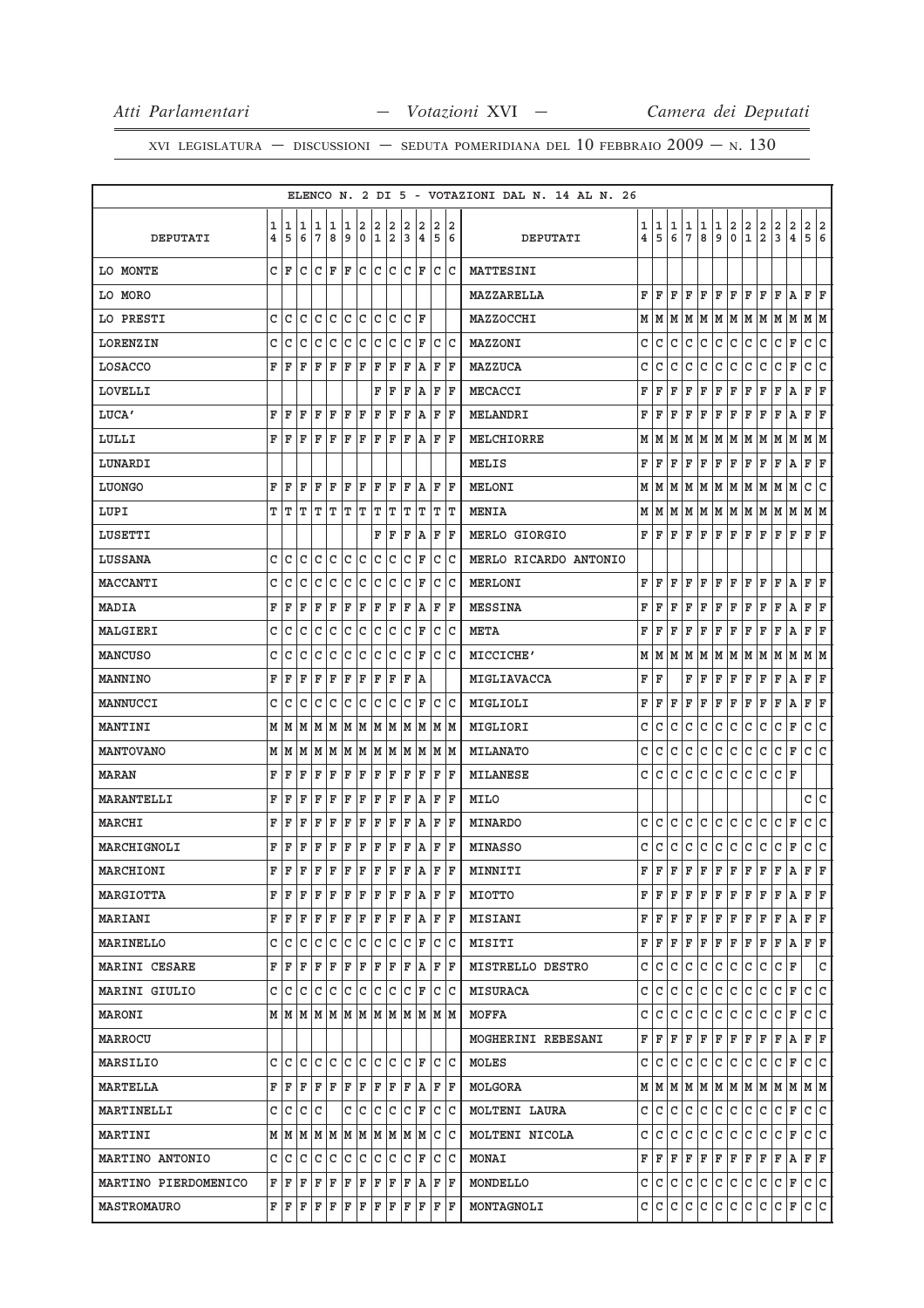|                      |   |                    |                   |              |                  |   |              |     |              |     |                                                                                                                                                                                                                                                                                                                                                                                               |                |                    | ELENCO N. 2 DI 5 - VOTAZIONI DAL N. 14 AL N. 26 |                |             |     |                 |              |              |     |     |                |         |                                                                             |                |                |
|----------------------|---|--------------------|-------------------|--------------|------------------|---|--------------|-----|--------------|-----|-----------------------------------------------------------------------------------------------------------------------------------------------------------------------------------------------------------------------------------------------------------------------------------------------------------------------------------------------------------------------------------------------|----------------|--------------------|-------------------------------------------------|----------------|-------------|-----|-----------------|--------------|--------------|-----|-----|----------------|---------|-----------------------------------------------------------------------------|----------------|----------------|
|                      | 1 | 1                  | 1                 | 1            | 1                | 1 | 2            | 2   | 2            | 2   | 2                                                                                                                                                                                                                                                                                                                                                                                             | 2              | 2                  |                                                 | 1              | 1           | 1   | 1               | 1            | 1            | 2   | 2   | 2              | 2       | $\overline{\mathbf{c}}$                                                     | $\overline{2}$ | $\overline{a}$ |
| DEPUTATI             | 4 | 5                  | 6                 | 7            | 8                | 9 |              | 0 1 |              | 2 3 | $\overline{4}$                                                                                                                                                                                                                                                                                                                                                                                | 5 6            |                    | DEPUTATI                                        | $\overline{4}$ | 5           | 6   | $7\phantom{.0}$ | 8            | 9            | 0   | 1   | $\overline{a}$ | 3       | $\overline{4}$                                                              | 5              | 6              |
| LO MONTE             |   | CF                 |                   |              | C C F F          |   |              |     |              |     | C C C C F                                                                                                                                                                                                                                                                                                                                                                                     | c c            |                    | MATTESINI                                       |                |             |     |                 |              |              |     |     |                |         |                                                                             |                |                |
| LO MORO              |   |                    |                   |              |                  |   |              |     |              |     |                                                                                                                                                                                                                                                                                                                                                                                               |                |                    | MAZZARELLA                                      | F              | F           | F   | F               | F            | F            | F   | F   | F              | F       | A                                                                           | F              | ΙF             |
| LO PRESTI            | c | C                  | C                 | C            | С                | С | С            | С   | С            | C   | F                                                                                                                                                                                                                                                                                                                                                                                             |                |                    | MAZZOCCHI                                       | М              | M           | M   | M               | M            | M            | M   | M   | M              | M       | M                                                                           | M  M           |                |
| LORENZIN             | C | C                  | C                 | С            | C                | C | C            | C   | С            |     | $\mathsf{C}$<br>F                                                                                                                                                                                                                                                                                                                                                                             | C C            |                    | MAZZONI                                         | C              | C           | C   | C               | C            | C            | l c | c   | C              | c       | F                                                                           | C              | lc.            |
| LOSACCO              | F | F                  | F                 | F            | F                | F | F            | F   | F            | F   | Α                                                                                                                                                                                                                                                                                                                                                                                             | F              | ΙF                 | MAZZUCA                                         | C              | C           | C   | C               | C            | C            | C   | C   | C              | lc      | $\mathbf F$                                                                 | C              | C              |
| LOVELLI              |   |                    |                   |              |                  |   |              | F   | ΙF           | F   | ΙA                                                                                                                                                                                                                                                                                                                                                                                            | F F            |                    | MECACCI                                         | F              | F           | F   | F               | F            | F            | F   | F   | F              | F       | Α                                                                           | F              | F              |
| LUCA'                | F | F                  | F                 | F            | ΙF               | F | ΙF           | F   | F            | F   | A                                                                                                                                                                                                                                                                                                                                                                                             | F              | ΙF                 | MELANDRI                                        | F              | F           | F   | F               | F            | F            | F   | F   | F              | F       | Α                                                                           | F              | F              |
| LULLI                | F | F                  | F                 | F            | F                | F | F            | F   | F            | F   | A                                                                                                                                                                                                                                                                                                                                                                                             | F              | ΙF                 | MELCHIORRE                                      | М              | M           | M   | M               | M            | M            |     |     | M M M M        |         | M                                                                           | MM             |                |
| LUNARDI              |   |                    |                   |              |                  |   |              |     |              |     |                                                                                                                                                                                                                                                                                                                                                                                               |                |                    | MELIS                                           | F              | F           | F   | F               | F            | F            | F   | F   | F              | F       | Α                                                                           | F              | F              |
| LUONGO               | F | F                  | F                 | F            | F                | F | F            | F   | F            | F   | A                                                                                                                                                                                                                                                                                                                                                                                             | FF             |                    | MELONI                                          | М              | M           | M   | M               | M            | M            | M   | M M |                | M       | M                                                                           | C              | IС             |
| LUPI                 | т | т                  | т                 | т            | т                | т | т            | т   | т            |     | т<br>т                                                                                                                                                                                                                                                                                                                                                                                        | TIT            |                    | <b>MENIA</b>                                    | М              | M           | M   | M               | M M          |              | MM  |     | M M            |         | М                                                                           | MM             |                |
| LUSETTI              |   |                    |                   |              |                  |   |              | F   | F            | F   | A                                                                                                                                                                                                                                                                                                                                                                                             | F              | ΙF                 | MERLO GIORGIO                                   | F              | F           | F   | F               | F            | ΙF           | F   | F   | F              | ΙF      | $\mathbf F$                                                                 | F              | F              |
| LUSSANA              | C | C                  | C                 | $\mathtt{C}$ | $\mathtt{C}$     | c | C            | C   | C            | C   | F                                                                                                                                                                                                                                                                                                                                                                                             | C              | C                  | MERLO RICARDO ANTONIO                           |                |             |     |                 |              |              |     |     |                |         |                                                                             |                |                |
| MACCANTI             |   |                    |                   |              |                  |   |              |     |              |     |                                                                                                                                                                                                                                                                                                                                                                                               |                |                    | <b>MERLONI</b>                                  | F              |             | F   | F               | F            | F            | ΙF  | ΙF  | F              |         |                                                                             |                |                |
|                      | С | C                  | C                 | С            | С                | С | С            | C   | С            |     | C<br>F                                                                                                                                                                                                                                                                                                                                                                                        | C C            |                    |                                                 |                | F           |     |                 |              |              |     |     |                | F       | A                                                                           | F              | F              |
| MADIA                | F | F                  | F                 | F            | F                | F | F            | F   | F            | F   | А                                                                                                                                                                                                                                                                                                                                                                                             | F              | F                  | <b>MESSINA</b>                                  | F              | F           | F   | F               | F            | F            | F   | F   | F              | F       | А                                                                           | F              | F              |
| MALGIERI             | C | С                  | С                 | С            | С                | C | C            | C   | C            |     | C F                                                                                                                                                                                                                                                                                                                                                                                           | C C            |                    | <b>META</b>                                     | F              | F           | F   | F               | F            | F            | F   | F   | F              | F       | Α                                                                           | F              | F              |
| <b>MANCUSO</b>       | С | C                  | C                 | C            | C                | C | C            | C   | C            | C   | F                                                                                                                                                                                                                                                                                                                                                                                             | C              | C                  | MICCICHE'                                       | M              | M           | M   | M               | M            | M            | M   | M   | M              | M       | M                                                                           | M  M           |                |
| MANNINO              | F | F                  | F                 | F            | F                | F | F            | F   | F            | F   | ١A                                                                                                                                                                                                                                                                                                                                                                                            |                |                    | MIGLIAVACCA                                     | F              | F           |     | F               | F            | F            | F   | F   | F              | F       | Α                                                                           | F              | F              |
| MANNUCCI             | C | C                  | C                 | C            | $\mathtt{C}$     | c | $\mathtt{C}$ | C   | C            | C   | F                                                                                                                                                                                                                                                                                                                                                                                             | $\overline{C}$ | C                  | MIGLIOLI                                        | F              | F           | F   | $\mathbf F$     | F            | ΙF           | F   | ΙF  | F              | F       | A                                                                           | F              | F              |
| MANTINI              |   | M   M              |                   |              |                  |   |              |     |              |     |                                                                                                                                                                                                                                                                                                                                                                                               |                |                    | MIGLIORI                                        | C              | C           | C   | C               | C            | C            | C   | C   | C              | C       | F                                                                           | c              | c              |
| <b>MANTOVANO</b>     |   | MM                 |                   |              |                  |   |              |     |              |     | M  M  M  M  M  M  M  M  M  M  M                                                                                                                                                                                                                                                                                                                                                               |                |                    | <b>MILANATO</b>                                 | C              | С           | C   | C               | C            | C            | C   | C   | C              | C       | $\mathbf F$                                                                 | С              | lc             |
| <b>MARAN</b>         | F | F                  | F                 | F            | F                | F | F            | F   | F            | F   | F                                                                                                                                                                                                                                                                                                                                                                                             | F              | ΙF                 | <b>MILANESE</b>                                 | C              | C           | C   | C               | C            | C            | C   | C   | C              | C       | F                                                                           |                |                |
| <b>MARANTELLI</b>    | F | $\mathbf{F}$       | F                 | F            | F                | F | F            | F   | F            | F   | ΙA                                                                                                                                                                                                                                                                                                                                                                                            | F F            |                    | MILO                                            |                |             |     |                 |              |              |     |     |                |         |                                                                             | c              | lc.            |
| MARCHI               | F | F                  | F                 | F            | F                | F | F            | F   | F            | F   | Α                                                                                                                                                                                                                                                                                                                                                                                             | F              | ΙF                 | MINARDO                                         | C              | C           | C   | C               | С            | C            | С   | C   | C              | lC.     | F                                                                           | С              | IС             |
| MARCHIGNOLI          | F | F                  | F                 | F            | F                | F | F            | F   | F            | F   | A                                                                                                                                                                                                                                                                                                                                                                                             | FF             |                    | <b>MINASSO</b>                                  | C              | C           | C   | C               | $\mathtt{C}$ | C            | c   | c   | C              | c       | F                                                                           | c              | c              |
| MARCHIONI            | F | $\mathbf{F}% _{0}$ | $\mathbf F$       | F            | F                | F | $\mathbf{F}$ | F   | $\mathbf{F}$ | F   | A                                                                                                                                                                                                                                                                                                                                                                                             | F              | $\mathbf{F}% _{0}$ | MINNITI                                         | F              | $\mathbf F$ | F   | F               | F            | F            | F   | F   | F              | F       | A                                                                           | F              | F              |
| <b>MARGIOTTA</b>     |   | F F                | F                 |              | F F              |   |              |     |              |     | $F$ $F$ $F$ $F$ $R$ $A$                                                                                                                                                                                                                                                                                                                                                                       | F F            |                    | MIOTTO                                          | F              | ΙF          | F   | F               | F            | F            | F   | F   | F              | F       | A                                                                           | F              | lF.            |
| MARIANI              |   | FF                 |                   |              |                  |   |              |     |              |     | ${\color{red} \mathbf{F}}{\color{red} \mathbf{F}}{\color{red} \mathbf{F}}{\color{red} \mathbf{F}}{\color{red} \mathbf{F}}{\color{red} \mathbf{F}}{\color{red} \mathbf{F}}{\color{red} \mathbf{F}}{\color{red} \mathbf{F}}{\color{red} \mathbf{F}}{\color{red} \mathbf{F}}{\color{red} \mathbf{F}}{\color{red} \mathbf{F}}{\color{red} \mathbf{F}}$                                            |                |                    | <b>MISIANI</b>                                  | F              | F           | F   | F               | F            | F            | F   | F   | F              | F       | A                                                                           | F F            |                |
| MARINELLO            |   | C C                | С                 | c            | $\mathsf{C}$     | c | c            | c   | C            |     | $\mathsf{C}$<br>F                                                                                                                                                                                                                                                                                                                                                                             | C C            |                    | MISITI                                          | F              | ΙF          | F   | F               | F            | F            | F   | F   | F              | F       | Α                                                                           | F F            |                |
| MARINI CESARE        |   |                    |                   |              |                  |   |              |     |              |     | F F F F F F F F F F F A                                                                                                                                                                                                                                                                                                                                                                       | F F            |                    | MISTRELLO DESTRO                                | C              | C           | l C | C               | c            | c            | c   | c   | C              | $ C $ F |                                                                             |                | C              |
| MARINI GIULIO        |   | c  c               | c                 |              |                  |   |              |     |              |     | C F                                                                                                                                                                                                                                                                                                                                                                                           | c c            |                    | <b>MISURACA</b>                                 | C              | С           | C   | C               | С            | C            | С   | C   | C              | C       | $\mathbf F$                                                                 | C              | lc.            |
| MARONI               |   |                    |                   |              |                  |   |              |     |              |     | MMMMMMMMMMMMMM                                                                                                                                                                                                                                                                                                                                                                                |                |                    | MOFFA                                           | C              | C           | C   | $\mathsf{C}$    | $\mathtt{C}$ | $\mathtt{C}$ | c   | c   | $\mathtt{C}$   | c       | F                                                                           | lc.            | lc.            |
| MARROCU              |   |                    |                   |              |                  |   |              |     |              |     |                                                                                                                                                                                                                                                                                                                                                                                               |                |                    | MOGHERINI REBESANI                              | F              | F           | F   | F               | F            | F            | F   | F   | F              | IF.     | $A$ $F$ $F$                                                                 |                |                |
| MARSILIO             |   |                    | C C C C C C C C C |              |                  |   |              |     |              |     | C F                                                                                                                                                                                                                                                                                                                                                                                           | C C            |                    | MOLES                                           | С              | C           | C   | C               | C            | C            | lc. | lc. | C              | С       | ΙF                                                                          | C C            |                |
| MARTELLA             |   |                    |                   |              |                  |   |              |     |              |     | F F F F F F F F F F F A                                                                                                                                                                                                                                                                                                                                                                       | F F            |                    | MOLGORA                                         |                |             |     |                 |              |              |     |     |                |         | $M$   $M$   $M$   $M$   $M$   $M$   $M$   $M$   $M$   $M$   $M$   $M$   $M$ |                |                |
| MARTINELLI           |   | C C                |                   | C C          |                  |   |              |     |              |     | $C C C C C F C C$                                                                                                                                                                                                                                                                                                                                                                             |                |                    | MOLTENI LAURA                                   | c              | C           | C   | C               | lc.          | C            | lc. | lc. | C              | С       | F                                                                           | C C            |                |
| <b>MARTINI</b>       |   |                    |                   |              |                  |   |              |     |              |     |                                                                                                                                                                                                                                                                                                                                                                                               | C C            |                    | MOLTENI NICOLA                                  | C              | C           | l C | C               | lc.          | c            | c   | c   | c              | C F     |                                                                             | c c            |                |
| MARTINO ANTONIO      |   | C C                | С                 |              | c  c  c  c  c  c |   |              |     |              |     | CF                                                                                                                                                                                                                                                                                                                                                                                            | C C            |                    | <b>MONAI</b>                                    | F              | F           | F   | F               | F            | F            | F   | F   | F              | F       | A                                                                           | F              | F              |
| MARTINO PIERDOMENICO |   |                    |                   |              |                  |   |              |     |              |     | $\mathbf{F} \,   \, \mathbf{F} \,   \, \mathbf{F} \,   \, \mathbf{F} \,   \, \mathbf{F} \,   \, \mathbf{F} \,   \, \mathbf{F} \,   \, \mathbf{F} \,   \, \mathbf{F} \,   \, \mathbf{A} \,  $                                                                                                                                                                                                  | F F            |                    | MONDELLO                                        | C              | lc.         | lc. | c               | c            | c            | c   | c   | c              | c       | F                                                                           | c c            |                |
| <b>MASTROMAURO</b>   |   |                    |                   |              |                  |   |              |     |              |     | $\mathbf{F} \,   \, \mathbf{F} \,   \, \mathbf{F} \,   \, \mathbf{F} \,   \, \mathbf{F} \,   \, \mathbf{F} \,   \, \mathbf{F} \,   \, \mathbf{F} \,   \, \mathbf{F} \,   \, \mathbf{F} \,   \, \mathbf{F} \,   \, \mathbf{F} \,   \, \mathbf{F} \,   \, \mathbf{F} \,   \, \mathbf{F} \,   \, \mathbf{F} \,   \, \mathbf{F} \,   \, \mathbf{F} \,   \, \mathbf{F} \,   \, \mathbf{F} \,   \,$ |                |                    | MONTAGNOLI                                      | С              | C           | C   | l C             | c            | l C          | c   | c   | c              | $ C $ F |                                                                             | c c            |                |
|                      |   |                    |                   |              |                  |   |              |     |              |     |                                                                                                                                                                                                                                                                                                                                                                                               |                |                    |                                                 |                |             |     |                 |              |              |     |     |                |         |                                                                             |                |                |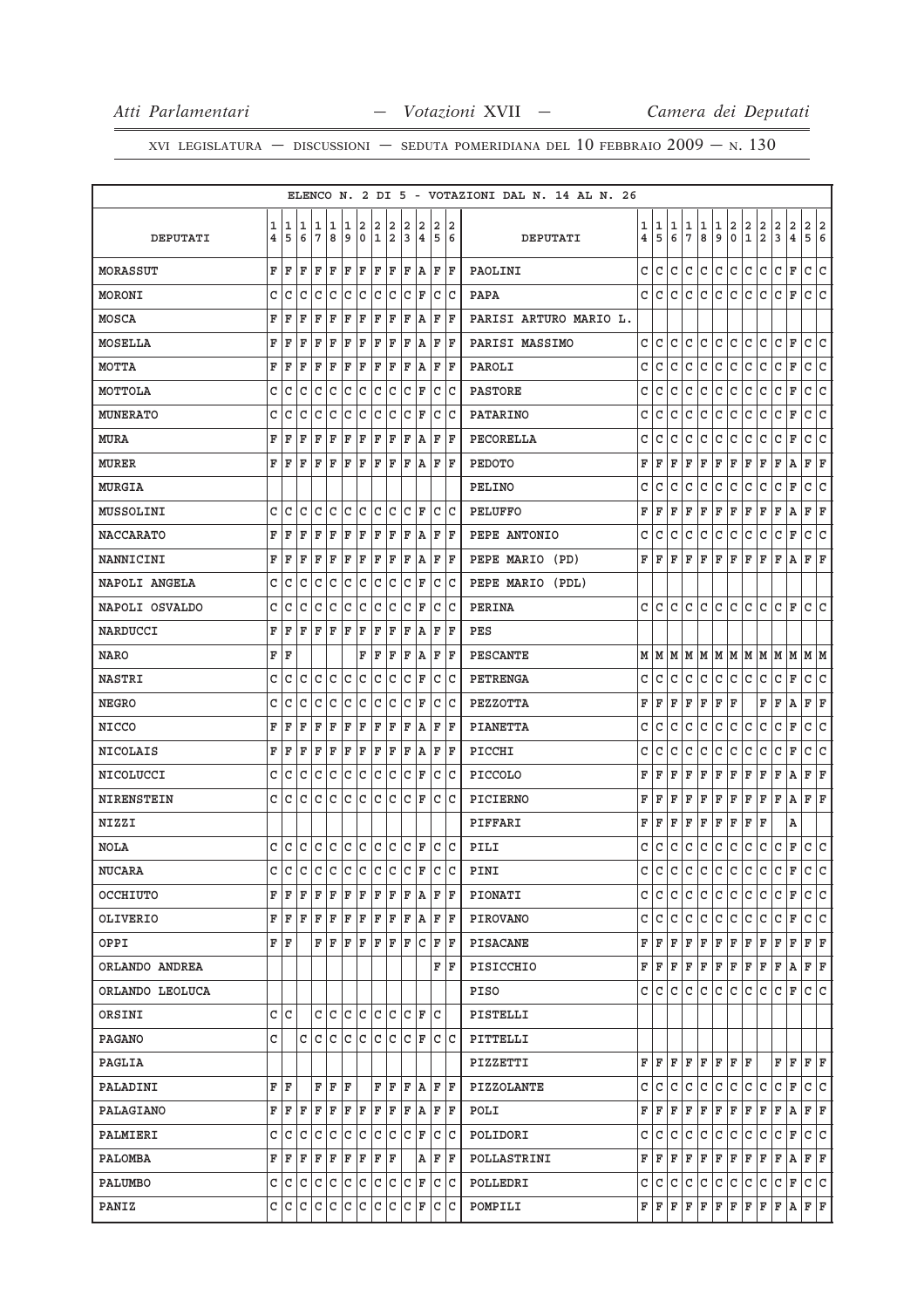|                  |                         |       |     |         |      |     |         |              |     |     |                         |     |       | ELENCO N. 2 DI 5 - VOTAZIONI DAL N. 14 AL N. 26 |                         |              |              |               |               |               |                         |               |                                                                  |                |                         |                                   |
|------------------|-------------------------|-------|-----|---------|------|-----|---------|--------------|-----|-----|-------------------------|-----|-------|-------------------------------------------------|-------------------------|--------------|--------------|---------------|---------------|---------------|-------------------------|---------------|------------------------------------------------------------------|----------------|-------------------------|-----------------------------------|
|                  | 1                       | 1     | 11  | 1       | 1    | 1   | 2       | 2            | 2   | 2   | 12                      | 2   | 12    |                                                 | 1                       | 1            | 1            |               |               |               | $\overline{\mathbf{2}}$ |               |                                                                  | 2              | $\mathbf 2$             | $\overline{a}$<br>2               |
| DEPUTATI         | $\overline{\mathbf{4}}$ | 5     | 6   | 7       | 8    | 9   | $\circ$ | ١ı.          | 2   | 3   | 4                       | 5   | 6     | DEPUTATI                                        | $\overline{\mathbf{4}}$ | 5            | $\epsilon$   | $\frac{1}{7}$ | $\frac{1}{8}$ | $\frac{1}{9}$ | $\circ$                 | $\frac{2}{1}$ | $\left  \begin{smallmatrix} 2 \ 2 \ 2 \end{smallmatrix} \right $ | $\overline{3}$ | $\overline{\mathbf{4}}$ | $\overline{5}$<br>$6\overline{6}$ |
| <b>MORASSUT</b>  | F                       | ΙF    | ΙF  | ΙF      | ΙF   | F   | ΙF      | ΙF           | F   | ΙF  | A                       |     | F  F  | PAOLINI                                         | C                       | c            | C            | C             | C             | C             | C                       | C             | C                                                                | C              | F                       | $\overline{c}$<br>C               |
| MORONI           | C                       | lc    | l C | C       | lc.  | lc. | lc.     | lc.          | Iс  | lc. | ΙF                      | lc. | ١c    | PAPA                                            | c                       | C            | C            | С             | С             | С             | C                       | С             | С                                                                | С              | F                       | lc.<br>c                          |
| MOSCA            | F                       | ΙF    | F   | F       | F    | F   | F       | F            | F   | F   | ١A                      | F   | ΙF    | PARISI ARTURO MARIO L.                          |                         |              |              |               |               |               |                         |               |                                                                  |                |                         |                                   |
| <b>MOSELLA</b>   | F                       | F     | F   | F       | F    | F   | F       | F            | F   | F   | A                       | F   | ΙF    | PARISI MASSIMO                                  | c                       | С            | С            | С             | С             | С             | C                       | C             | С                                                                | c              | F                       | C<br>c                            |
| MOTTA            | F                       | ΙF    | F   | F       | F    | ΙF  | F       | F            | F   | ΙF  | ١A                      | F   | ΙF    | PAROLI                                          | c                       | С            | С            | С             | С             | c             | c                       | С             | С                                                                | С              | F                       | c<br>C                            |
| MOTTOLA          | C                       | C     | C   | C       | C    | C   | c       | $\mathtt{C}$ | lc. | C   | ΙF                      | С   | lc    | <b>PASTORE</b>                                  | C                       | С            | С            | C             | C             | C             | c                       | C             | C                                                                | C              | F                       | C<br>C                            |
| <b>MUNERATO</b>  | C                       | C     | C   | C       | C    | C   | C       | C            | C   | C   | ΙF                      | C   | lc    | <b>PATARINO</b>                                 | C                       | C            | $\mathtt{C}$ | $\mathtt{C}$  | $\mathtt{C}$  | C             | $\mathtt{C}$            | $\mathtt{C}$  | $\mathtt{C}$                                                     | С              | F                       | C<br>C                            |
| MURA             | F                       | F     | F   | F       | ΙF   | F   | ΙF      | F            | F   | F   | A                       | F   | ΙF    | PECORELLA                                       | C                       | C            | C            | С             | С             | С             | С                       | С             | C                                                                | С              | F                       | $\mathtt{C}$<br>C                 |
| <b>MURER</b>     | F                       | ΙF    | ΙF  | ΙF      | ΙF   | ΙF  | ΙF      | lF.          | ΙF  | ΙF  | A                       | ΙF  | ١F    | <b>PEDOTO</b>                                   | F                       | F            | F            | F             | F             | F             | F                       | F             | F                                                                | F              | Α                       | F F                               |
| <b>MURGIA</b>    |                         |       |     |         |      |     |         |              |     |     |                         |     |       | PELINO                                          | С                       | С            | С            | С             | С             | С             | С                       | С             | С                                                                | С              | F                       | С<br>C                            |
| <b>MUSSOLINI</b> | c                       | lc    | C   | C       | lc.  | lc. | lc.     |              | c c |     | $ {\tt C}\, $ F         |     | c c   | <b>PELUFFO</b>                                  | F                       | F            | F            | F             | F             | F             | F                       | F             | F                                                                | F              | Α                       | F<br>F                            |
| <b>NACCARATO</b> | F                       | ΙF    | F   | F       | F    | ΙF  | F       | ΙF           | ΙF  | ΙF  | ١A                      | F   | ΙF    | PEPE ANTONIO                                    | С                       | С            | С            | С             | c             | С             | c                       | C             | C                                                                | С              | F                       | С<br>C                            |
| <b>NANNICINI</b> | F                       | F     | ΙF  | F       | ΙF   | ΙF  | F       | F            | F   | F   | lA.                     | ΙF  | ΙF    | PEPE MARIO (PD)                                 | F                       | F            | F            | F             | F             | F             | F                       | F             | F                                                                | F              | Α                       | F F                               |
| NAPOLI ANGELA    | C                       | lc    | C   | C       | C    | lc  | С       | C            | C   | C   | F                       | С   | c     | PEPE MARIO (PDL)                                |                         |              |              |               |               |               |                         |               |                                                                  |                |                         |                                   |
| NAPOLI OSVALDO   | C                       | C     | C   | C       | C    | c   | C       | C            | C   | C   | ΙF                      | C   | ١c    | <b>PERINA</b>                                   | C.                      | C            | c            | C             | C             | c             | c                       | c             | C                                                                | c              | F                       | c<br>C                            |
| NARDUCCI         | F                       | ΙF    | ΙF  | ΙF      | ΙF   | ΙF  | F       | ΙF           | ΙF  | ΙF  | A                       | ΙF  | ΙF    | <b>PES</b>                                      |                         |              |              |               |               |               |                         |               |                                                                  |                |                         |                                   |
| <b>NARO</b>      | F                       | ١F    |     |         |      |     | F       | ΙF           | ΙF  | F   | A                       | F   | ΙF    | <b>PESCANTE</b>                                 | М                       | м            | М            | М             |               |               |                         |               | $M$ $M$ $M$ $M$ $M$ $M$                                          |                | М                       | M M                               |
| <b>NASTRI</b>    | C                       | C     | c   | C       | lc.  | lc. | lc.     | C            | lc  | C   | F                       |     | C C   | PETRENGA                                        | с                       | С            | С            | С             | c             | С             | c                       | C             | C                                                                | C              | F                       | C<br>∣c                           |
| <b>NEGRO</b>     | C                       | C     | C   | C       | C    | C   | C       | C            | C   | C   | ΙF                      | C   | lc    | PEZZOTTA                                        | F                       | F            | F            | F             | F             | F             | F                       |               | F                                                                | F              | Α                       | F<br>F                            |
| NICCO            | F                       | ΙF    | ΙF  | F       | ΙF   | F   | F       | F            | F   | F   | A                       | F   | ΙF    | <b>PIANETTA</b>                                 | C                       | С            | С            | С             | С             | C             | $\mathtt{C}$            | C             | C                                                                | C              | F                       | C<br>C                            |
| <b>NICOLAIS</b>  | F                       | ΙF    | F   | F       | ΙF   | F   | F       | F            | F   | F   | A                       | F   | ١F    | PICCHI                                          | С                       | С            | C            | С             | C             | С             | C                       | С             | C                                                                | c              | F                       | c<br>C                            |
| NICOLUCCI        | C                       | ١c    | C   | C       | c    | c   | C       | C            | lc  | C   | ΙF                      | C   | ١c    | <b>PICCOLO</b>                                  | F                       | F            | F            | F             | F             | F             | F                       | F             | F                                                                | F              | Α                       | F<br>F                            |
| NIRENSTEIN       | c                       | lc.   | lc. | lc.     | lc.  | lc. | lc.     |              | c c |     | IC IF                   |     | c c   | PICIERNO                                        | F                       | F            | F            | F             | F             | F             | F                       | F             | F                                                                | F              | Α                       | F F                               |
| NIZZI            |                         |       |     |         |      |     |         |              |     |     |                         |     |       | PIFFARI                                         | F                       | F            | F            | F             | F             | F             | F                       | F             | F                                                                |                | Α                       |                                   |
| <b>NOLA</b>      | c                       | Iс    | C   | c c     |      | c c |         |              | c c |     | $ C $ F                 |     | c c   | PILI                                            | c                       | С            | С            | с             | c             | C             | C                       | C             | C                                                                | C              | F                       | c<br>C                            |
| <b>NUCARA</b>    | C                       | c     |     |         |      |     |         |              |     |     | c c c c c c c c c F c c |     |       | PINI                                            | C                       | $\mathtt{C}$ | $\mathtt{C}$ | C             | C             | $\mathtt{C}$  | C                       | C             | C                                                                | C              | F                       | c c                               |
| OCCHIUTO         | F                       | ΙF    | ΙF  | F       | ΙF   | F   | F       | F            | F   | ΙF  | A                       | F   | ΙF    | PIONATI                                         | c                       | C            | с            | С             | C             | c             | C                       | С             | C                                                                | C              | F                       | c c                               |
| OLIVERIO         | F                       | ΙF    | F   | F       | ΙF   | F   | ΙF      | F F          |     |     | F A                     |     | F   F | <b>PIROVANO</b>                                 | c                       | С            | С            | С             | С             | C             | c.                      | C             | С                                                                | C              | F                       | C C                               |
| OPPI             |                         | F   F |     | F       | ΙF   | F   | ΙF      | ΙF           | ΙF  | ΙF  | IС                      | F   | ١F    | PISACANE                                        | F                       | F            | F            | F             | F             | F             | F                       | F             | F                                                                | F              | F                       | F<br>ΙF                           |
| ORLANDO ANDREA   |                         |       |     |         |      |     |         |              |     |     |                         |     | FF    | PISICCHIO                                       | F                       | F            | F            | $\mathbf F$   | F             | F             | F                       | F             | F                                                                | F              | Α                       | F F                               |
| ORLANDO LEOLUCA  |                         |       |     |         |      |     |         |              |     |     |                         |     |       | PISO                                            | C                       | С            | С            | С             | С             | c             | c                       | С             | С                                                                | c              | F                       | c<br>lc.                          |
| ORSINI           |                         | c Ic  |     |         | c  c | c c |         |              | c c |     | IC IF                   | lc. |       | PISTELLI                                        |                         |              |              |               |               |               |                         |               |                                                                  |                |                         |                                   |
| PAGANO           | C                       |       | C   | lc.     | lc.  | lc. | lc.     | lc.          | Iс  | l C | ΙF                      |     | c c   | PITTELLI                                        |                         |              |              |               |               |               |                         |               |                                                                  |                |                         |                                   |
| PAGLIA           |                         |       |     |         |      |     |         |              |     |     |                         |     |       | PIZZETTI                                        | F                       | F            | F            | $\mathbf F$   | F             | $\mathbf{F}$  | F F                     |               |                                                                  | $\mathbf{F}$   | $\mathbf{F}$            | F F                               |
| PALADINI         |                         | F   F |     | F       | ΙF   | ΙF  |         |              | FF  |     | F A                     |     | F  F  | <b>PIZZOLANTE</b>                               | C                       | С            | С            | C             | c             | c             | C                       | C             | C                                                                | C              | F                       | C C                               |
| PALAGIANO        | F                       | ΙF    | ΙF  | F       | F    | F   | F       | ΙF           | ΙF  | ΙF  | ١A                      |     | FF    | POLI                                            | F                       | F            | F            | F             | F             | F             | F                       | F             | F                                                                | F              | А                       | FF                                |
| PALMIERI         |                         |       |     |         |      |     |         |              |     |     | c c c c c c c c c c c F |     | C C   | POLIDORI                                        | С                       | С            | С            | C             | C             | C             | C                       | C             | C                                                                | c              | F                       | C C                               |
| PALOMBA          | F                       | ΙF    | F   | F       | F    | F   | F       | F   F        |     |     | А                       |     | F F   | POLLASTRINI                                     | F                       | F            | F            | F             | F             | F             | F                       | F             | F                                                                | F              | Α                       | FF                                |
| PALUMBO          |                         | c  c  |     | c c c   |      | c c |         |              | c c |     | $ C $ $\mathbf{F}$      |     | c c   | POLLEDRI                                        | C                       | С            | С            | C             | C             | С             | c                       | С             | C                                                                | C              | F                       | c c                               |
| PANIZ            |                         | c c   |     | c c c c |      |     | ∣c      | c            | c   | lc. | F                       |     | c c   | POMPILI                                         |                         | F F          | F            | F             | F             |               | F F                     | F F           |                                                                  | F A            |                         | F F                               |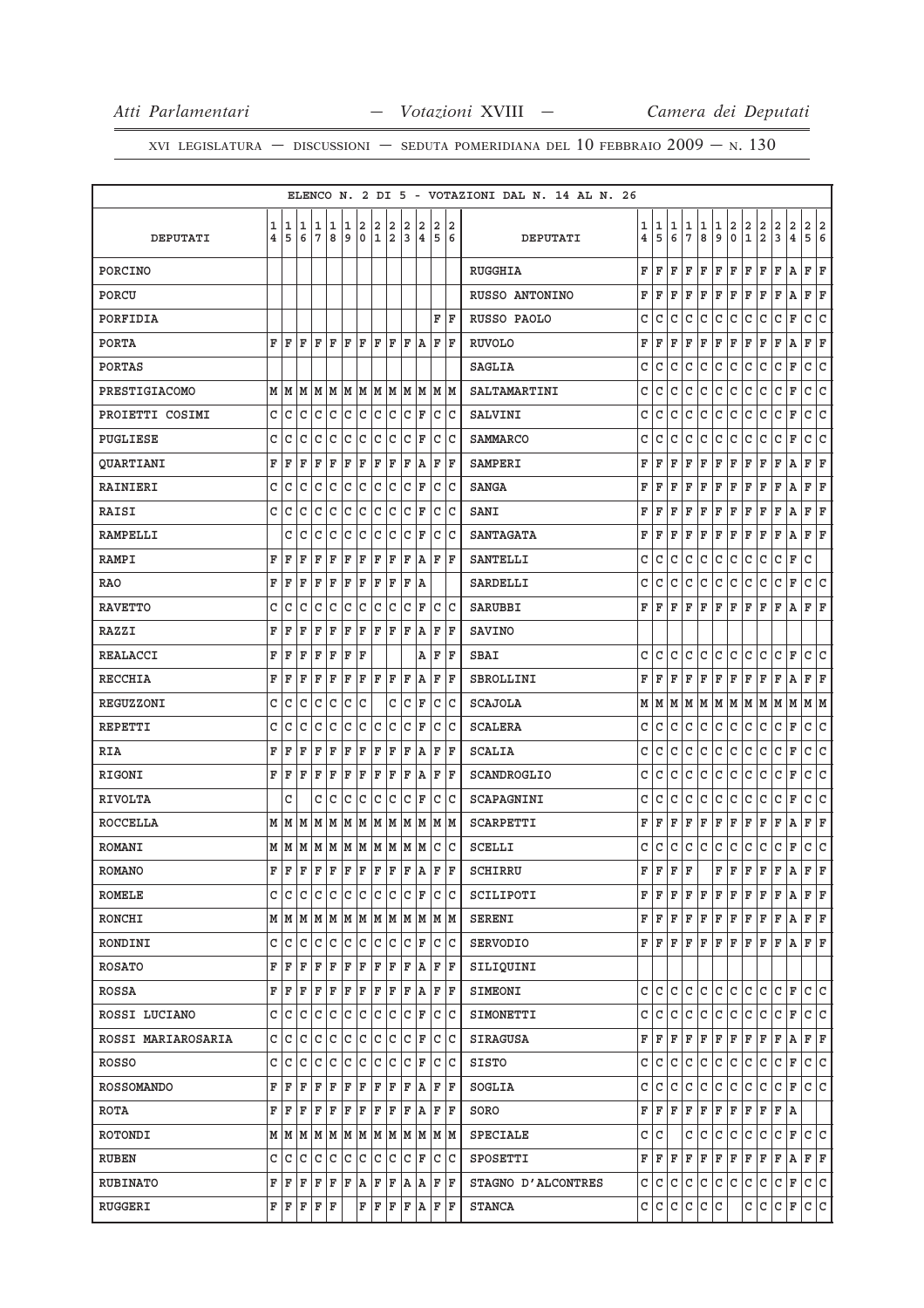|                    |              |      |                                                                             |    |                                                                                                                                                                                                                       |              |                         |                |                |              |               |                |             | ELENCO N. 2 DI 5 - VOTAZIONI DAL N. 14 AL N. 26 |                         |             |              |                 |              |              |                         |              |                         |                         |                         |                                         |
|--------------------|--------------|------|-----------------------------------------------------------------------------|----|-----------------------------------------------------------------------------------------------------------------------------------------------------------------------------------------------------------------------|--------------|-------------------------|----------------|----------------|--------------|---------------|----------------|-------------|-------------------------------------------------|-------------------------|-------------|--------------|-----------------|--------------|--------------|-------------------------|--------------|-------------------------|-------------------------|-------------------------|-----------------------------------------|
|                    | 1            | 1    | 1                                                                           | 1  | $\mathbf 1$                                                                                                                                                                                                           | 1            | $\overline{\mathbf{2}}$ | 2              | 2              | 2            | 2             | $\overline{a}$ | 2           |                                                 | 1                       | 1           | 1            | 1               | 1            | 1            | $\overline{\mathbf{2}}$ | 2            | $\overline{\mathbf{2}}$ | 2                       | $\overline{\mathbf{2}}$ | 2<br>$\overline{2}$                     |
| DEPUTATI           | 4            | 5    | 6                                                                           | 7  | 8                                                                                                                                                                                                                     | 9            |                         | 0 1            | $\overline{a}$ | 3            |               | 4 5 6          |             | DEPUTATI                                        | $\overline{\mathbf{4}}$ | 5           | 6            | $7\phantom{.0}$ | 8            | 9            | $\mathbf 0$             | $\mathbf{1}$ | $\overline{a}$          | 3                       | $\overline{4}$          | 5<br>6                                  |
| PORCINO            |              |      |                                                                             |    |                                                                                                                                                                                                                       |              |                         |                |                |              |               |                |             | <b>RUGGHIA</b>                                  | F                       | F           | F            | F               | F            | F            | F                       | F            | F                       | ΙF                      | A                       | F<br>F                                  |
| PORCU              |              |      |                                                                             |    |                                                                                                                                                                                                                       |              |                         |                |                |              |               |                |             | RUSSO ANTONINO                                  | F                       | $\mathbf F$ | F            | F               | F            | F            | F                       | ΙF           | F                       | F                       | A                       | F<br>F                                  |
| PORFIDIA           |              |      |                                                                             |    |                                                                                                                                                                                                                       |              |                         |                |                |              |               | F              | ΙF          | RUSSO PAOLO                                     | C                       | C           | C            | C               | C            | C            | C                       | C            | C                       | C                       | F                       | c<br>c                                  |
| <b>PORTA</b>       |              | FF   | ΙF                                                                          |    | F F F F F F F A                                                                                                                                                                                                       |              |                         |                |                |              |               | FF             |             | <b>RUVOLO</b>                                   | F                       | $\mathbf F$ | F            | F               | F            | ΙF           | F                       | ΙF           | F                       | F                       | Α                       | F<br>F                                  |
| <b>PORTAS</b>      |              |      |                                                                             |    |                                                                                                                                                                                                                       |              |                         |                |                |              |               |                |             | <b>SAGLIA</b>                                   | C                       | C           | C            | C               | C            | $\mathsf{C}$ | c                       | lc           | C                       | lc                      | F                       | $\mathtt{C}$<br>$\overline{\mathsf{c}}$ |
| PRESTIGIACOMO      |              |      | $M$   $M$   $M$   $M$   $M$   $M$   $M$   $M$   $M$   $M$   $M$   $M$   $M$ |    |                                                                                                                                                                                                                       |              |                         |                |                |              |               |                |             | SALTAMARTINI                                    | C                       | C           | C            | C               | C            | C            | C                       | lc           | C                       | C                       | F                       | C<br>c                                  |
| PROIETTI COSIMI    | C            | C    | с                                                                           | C  | l C                                                                                                                                                                                                                   | C.           | C                       | c              | C              | $\mathsf{C}$ | F             | C C            |             | SALVINI                                         | C                       | C           | C            | C               | C            | $\mathsf{C}$ | lc.                     | lc           | C                       | lc                      | $\mathbf F$             | c<br>c                                  |
| PUGLIESE           | c            | C    | C                                                                           | C  | С                                                                                                                                                                                                                     | С            | c                       | C              | c              | c            | F             | c Ic           |             | <b>SAMMARCO</b>                                 | C                       | C           | C            | C               | C            | C            | C                       | C            | C                       | C                       | F                       | C<br>c                                  |
| <b>QUARTIANI</b>   | F            | F    | F                                                                           | F  | F                                                                                                                                                                                                                     | F            | F                       | F              | F              | F            | A             | FF             |             | SAMPERI                                         | F                       | F           | F            | F               | F            | F            | F                       | F            | F                       | F                       | Α                       | F<br>F                                  |
| <b>RAINIERI</b>    | c            | C    | C                                                                           | C  | С                                                                                                                                                                                                                     | C            | С                       | С              | С              | С            | F             | C C            |             | <b>SANGA</b>                                    | F                       | F           | F            | F               | F            | F            | F                       | F            | F                       | F                       | Α                       | F<br>F                                  |
| RAISI              | C            | C    | C                                                                           | C  | $\mathtt{C}$                                                                                                                                                                                                          | C            | $\mathtt{C}$            | C              | $\mathtt{C}$   | C            | F             | c  c           |             | SANI                                            | F                       | $\mathbf F$ | F            | F               | F            | ΙF           | F                       | ΙF           | F                       | F                       | A                       | F<br>F                                  |
| <b>RAMPELLI</b>    |              | C    | C                                                                           | C  | $\mathtt{C}$                                                                                                                                                                                                          | c            | $\mathtt{C}$            | C              | C              | C            | F             | lc lc          |             | <b>SANTAGATA</b>                                | F                       | F           | F            | ΙF              | F            | ΙF           | F                       | ΙF           | F                       | F                       | Α                       | F<br>F                                  |
| RAMPI              | F            | F    | F                                                                           | F  | F                                                                                                                                                                                                                     | F            | F                       | F              | F              | F            | A             | F F            |             | <b>SANTELLI</b>                                 | C                       | C           | $\mathbf C$  | $\mathsf{C}$    | $\mathsf{C}$ | C            | C                       | lc           | C                       | lc                      | F                       | $\mathbf C$                             |
| <b>RAO</b>         | F            | F    | F                                                                           | F  | F                                                                                                                                                                                                                     | F            | F                       | F              | F              | F            | ΙA            |                |             | <b>SARDELLI</b>                                 | C                       | C           | C            | C               | C            | C            | lc.                     | lc           | C                       | lc.                     | F                       | c<br>lc.                                |
| <b>RAVETTO</b>     | C            | C    | C                                                                           | C  | $\mathtt{C}$                                                                                                                                                                                                          | c            | C                       | C              | lc.            | C            | F             | C C            |             | SARUBBI                                         | F                       | F           | F            | $\mathbf F$     | F            | $\mathbf F$  | F                       | F            | F                       | ΙF                      | А                       | F<br>F                                  |
| RAZZI              | F            | F    | F                                                                           | F  | F                                                                                                                                                                                                                     | F            | F                       |                | F F F          |              | A             | FF             |             | <b>SAVINO</b>                                   |                         |             |              |                 |              |              |                         |              |                         |                         |                         |                                         |
| <b>REALACCI</b>    | F            | F    | F                                                                           | F  | F                                                                                                                                                                                                                     | F            | F                       |                |                |              | Α             | F              | ΙF          | SBAI                                            | C                       | C           | C            | C               | C            | $\mathsf{C}$ | lc.                     | lc           | C                       | lc                      | $\mathbf F$             | c<br>C                                  |
| <b>RECCHIA</b>     | F            | F    | F                                                                           | F  | F                                                                                                                                                                                                                     | F            | F                       |                | FF             | ΙF           | A             | F F            |             | SBROLLINI                                       | F                       | F           | F            | ΙF              | F            | ΙF           | F                       | ΙF           | F                       | F                       | A                       | F<br>F                                  |
| REGUZZONI          | $\mathtt{C}$ | C    | C                                                                           | C  | C                                                                                                                                                                                                                     | C            | C                       |                | C              | C            | F             | $\mathsf{C}$   | C           | <b>SCAJOLA</b>                                  | M                       | M           | M            | M               | MM           |              |                         |              | $ M M $ M $ M$          |                         | M                       | MM                                      |
| REPETTI            | c            | C    | C                                                                           | C  | С                                                                                                                                                                                                                     | С            | С                       | С              | С              | c            | F             | c  c           |             | <b>SCALERA</b>                                  | C                       | C           | C            | C               | C            | C            | C                       | C            | C                       | C                       | $\mathbf F$             | lc.<br>lc.                              |
| RIA                | F            | F    | F                                                                           | F  | F                                                                                                                                                                                                                     | F            | F                       | F              | F              | F            | Α             | FF             |             | <b>SCALIA</b>                                   | C                       | C           | C            | C               | C            | C            | lc.                     | lc           | C                       | lc.                     | F                       | C<br> c                                 |
| RIGONI             | F            | ΙF   | F                                                                           | ΙF | F                                                                                                                                                                                                                     | $\mathbf{F}$ | F                       | F              | F              | F            | A             | F              | ΙF          | SCANDROGLIO                                     | C                       | C           | C            | C               | C            | C            | lc.                     | l c          | C                       | C                       | F                       | C<br>c                                  |
| <b>RIVOLTA</b>     |              | C    |                                                                             | c  | С                                                                                                                                                                                                                     | С            | С                       | C              | С              | $\mathsf{C}$ | F             | C C            |             | SCAPAGNINI                                      | C                       | C           | l c          | C               | lc.          | C            | lc.                     | lc.          | c                       | l c                     | F                       | c<br>C                                  |
| <b>ROCCELLA</b>    |              | MМ   |                                                                             |    |                                                                                                                                                                                                                       |              |                         |                |                |              |               |                |             | SCARPETTI                                       | F                       | F           | F            | F               | F            | F            | F                       | ΙF           | F                       | F                       | Α                       | F<br>F                                  |
| <b>ROMANI</b>      |              |      |                                                                             |    |                                                                                                                                                                                                                       |              |                         |                |                |              |               | C C            |             | <b>SCELLI</b>                                   | C                       | C           | $\mathsf{C}$ | $\mathtt{C}$    | $\mathtt{C}$ | $\mathtt{C}$ | c                       | c            | $\mathtt{C}$            | $\overline{\mathsf{c}}$ | F                       | c<br>c                                  |
| <b>ROMANO</b>      | $\mathbf{F}$ | F    |                                                                             |    | $\bf  F  F  F  F  F  F  F  A  $                                                                                                                                                                                       |              |                         |                |                |              |               | $\mathbf{F}$   | $\mathbf F$ | SCHIRRU                                         | F                       | F           | F            | l F             |              | F            | F                       | F            | F                       | F                       | a                       | F<br>F                                  |
| ROMELE             |              | c Ic |                                                                             |    |                                                                                                                                                                                                                       |              |                         |                |                |              |               |                |             | SCILIPOTI                                       | F                       | ΙF          | F            | F               | F            | F            | F                       | F            | F                       | F                       | Α                       | lF.<br>F                                |
| RONCHI             |              |      | $M$   $M$   $M$   $M$   $M$   $M$   $M$   $M$   $M$   $M$   $M$   $M$   $M$ |    |                                                                                                                                                                                                                       |              |                         |                |                |              |               |                |             | SERENI                                          | F                       | ΙF          | F            | F               | F            | F            | F                       | F            | F                       | F                       | Α                       | F F                                     |
| RONDINI            |              | C C  | c                                                                           |    | $ c\> c\> c\> c\> c\> $                                                                                                                                                                                               |              |                         |                |                |              | C F           | C C            |             | <b>SERVODIO</b>                                 | F                       | F           | F            | F               | F            | F            | F                       | F            | F                       | F                       | Α                       | F F                                     |
| <b>ROSATO</b>      |              |      | F F F F F F F F F F F A                                                     |    |                                                                                                                                                                                                                       |              |                         |                |                |              |               | F F            |             | SILIQUINI                                       |                         |             |              |                 |              |              |                         |              |                         |                         |                         |                                         |
| ROSSA              |              | F F  | F F F F F F F F A                                                           |    |                                                                                                                                                                                                                       |              |                         |                |                |              |               | FF             |             | SIMEONI                                         | C                       | ГC          | C            | C               | C            | lc.          | C                       | lc.          | C                       | lc.                     | F                       | c<br>C                                  |
| ROSSI LUCIANO      |              | C C  | c                                                                           | c  |                                                                                                                                                                                                                       |              | c c c                   | $ \mathtt{c} $ | C.             |              | C F           | c c            |             | SIMONETTI                                       | C                       | c           | $\mathsf{C}$ | $\mathsf{C}$    | $\mathtt{C}$ | C            | c                       | c            | C                       | lc.                     | F                       | c<br>lc.                                |
| ROSSI MARIAROSARIA |              | C C  | C                                                                           |    | $ c\> c\> c\> c\> $                                                                                                                                                                                                   |              |                         |                | c c            |              | C F           | C C            |             | SIRAGUSA                                        | F                       | ΙF          | F            | F               | F            | F            | F                       | F            | F                       | F                       |                         | A F F                                   |
| ROSSO              | $\mathsf{C}$ | C    | C                                                                           |    | $C C C C C C $                                                                                                                                                                                                        |              |                         |                |                |              | C F           | C C            |             | SISTO                                           | C                       | ГC          | C            | C               | C            | C            | lc.                     | l C          | C                       | lc.                     | F                       | c c                                     |
| <b>ROSSOMANDO</b>  |              | FF   | $ \mathbf{F} $                                                              |    | $F$ $F$ $F$ $F$ $F$ $F$ $F$ $A$                                                                                                                                                                                       |              |                         |                |                |              |               | FF             |             | SOGLIA                                          | C                       | C           | lc.          | lc.             | C            | c            | c                       | c            | C                       | lc.                     | F                       | c c                                     |
| ROTA               |              | FF   |                                                                             |    | $\mathbf{F} \left[ \mathbf{F} \left  \mathbf{F} \right. \right  \mathbf{F} \left  \mathbf{F} \right. \left  \mathbf{F} \right. \left  \mathbf{F} \right. \left  \mathbf{F} \right. \left  \mathbf{A} \right. \right]$ |              |                         |                |                |              |               | FF             |             | SORO                                            | F                       | F           | F            | F               | F            | F            | F                       | F            | F                       | F                       | ۱A                      |                                         |
| ROTONDI            |              |      | $M$   $M$   $M$   $M$   $M$   $M$   $M$   $M$   $M$   $M$   $M$   $M$       |    |                                                                                                                                                                                                                       |              |                         |                |                |              |               |                |             | SPECIALE                                        | C                       | c           |              | С               | l C          | l C          | l C                     | c            | C                       | c                       | F                       | c c                                     |
| <b>RUBEN</b>       |              |      | c c c c c c c c                                                             |    |                                                                                                                                                                                                                       |              |                         |                | $ c\> c\> $    |              | C F           | C C            |             | SPOSETTI                                        | F                       | ΙF          | ΙF           | F               | F            | ΙF           | F                       | F            | F                       | F                       | A                       | F F                                     |
| RUBINATO           |              |      | F F F F F F A                                                               |    |                                                                                                                                                                                                                       |              |                         |                |                |              | F F A A       | F  F           |             | STAGNO D'ALCONTRES                              | C                       | lc.         | c            | $\mathtt{C}$    | c            | lc.          | c                       | c            | C                       | lc.                     | F                       | c c                                     |
| RUGGERI            |              |      | F F F F F                                                                   |    |                                                                                                                                                                                                                       |              |                         |                |                |              | F F F F A F F |                |             | <b>STANCA</b>                                   |                         | C C         | c            | c               | c            | l C          |                         | С            | c                       | C F                     |                         | c c                                     |